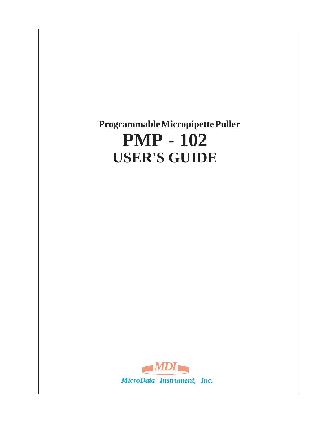# **Programmable Micropipette Puller PMP - 102 USER'S GUIDE**

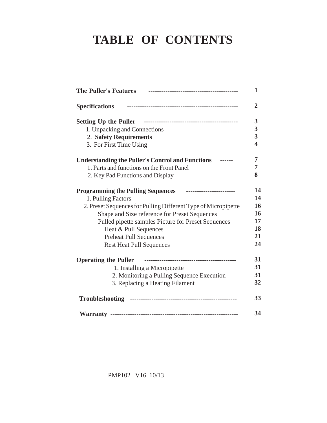# **TABLE OF CONTENTS**

| <b>The Puller's Features</b>                                         | 1              |
|----------------------------------------------------------------------|----------------|
| <b>Specifications</b>                                                | $\overline{2}$ |
|                                                                      | 3              |
| 1. Unpacking and Connections                                         | 3              |
| 2. Safety Requirements                                               | 3              |
| 3. For First Time Using                                              | 4              |
| <b>Understanding the Puller's Control and Functions</b>              | 7              |
| 1. Parts and functions on the Front Panel                            | 7              |
| 2. Key Pad Functions and Display                                     | 8              |
| <b>Programming the Pulling Sequences</b><br>------------------------ | 14             |
| 1. Pulling Factors                                                   | 14             |
| 2. Preset Sequences for Pulling Different Type of Micropipette       | 16             |
| Shape and Size reference for Preset Sequences                        | 16             |
| Pulled pipette samples Picture for Preset Sequences                  | 17             |
| Heat & Pull Sequences                                                | 18             |
| <b>Preheat Pull Sequences</b>                                        | 21             |
| <b>Rest Heat Pull Sequences</b>                                      | 24             |
| <b>Operating the Puller</b>                                          | 31             |
| 1. Installing a Micropipette                                         | 31             |
| 2. Monitoring a Pulling Sequence Execution                           | 31             |
| 3. Replacing a Heating Filament                                      | 32             |
|                                                                      | 33             |
|                                                                      | 34             |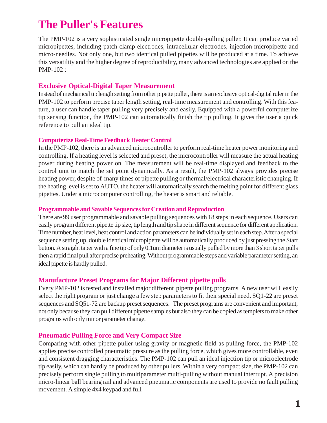# **The Puller's Features**

The PMP-102 is a very sophisticated single micropipette double-pulling puller. It can produce varied micropipettes, including patch clamp electrodes, intracellular electrodes, injection micropipette and micro-needles. Not only one, but two identical pulled pipettes will be produced at a time. To achieve this versatility and the higher degree of reproducibility, many advanced technologies are applied on the PMP-102 :

#### **Exclusive Optical-Digital Taper Measurement**

Instead of mechanical tip length setting from other pipette puller, there is an exclusive optical-digital ruler in the PMP-102 to perform precise taper length setting, real-time measurement and controlling. With this feature, a user can handle taper pulling very precisely and easily. Equipped with a powerful computerize tip sensing function, the PMP-102 can automatically finish the tip pulling. It gives the user a quick reference to pull an ideal tip.

#### **Computerize Real-Time Feedback Heater Control**

In the PMP-102, there is an advanced microcontroller to perform real-time heater power monitoring and controlling. If a heating level is selected and preset, the microcontroller will measure the actual heating power during heating power on. The measurement will be real-time displayed and feedback to the control unit to match the set point dynamically. As a result, the PMP-102 always provides precise heating power, despite of many times of pipette pulling or thermal/electrical characteristic changing. If the heating level is set to AUTO, the heater will automatically search the melting point for different glass pipettes. Under a microcomputer controlling, the heater is smart and reliable.

#### **Programmable and Savable Sequences for Creation and Reproduction**

There are 99 user programmable and savable pulling sequences with 18 steps in each sequence. Users can easily program different pipette tip size, tip length and tip shape in different sequence for different application. Time number, heat level, heat control and action parameters can be individually set in each step. After a special sequence setting up, double identical micropipette will be automatically produced by just pressing the Start button. A straight taper with a fine tip of only 0.1um diameter is usually pulled by more than 3 short taper pulls then a rapid final pull after precise preheating. Without programmable steps and variable parameter setting, an ideal pipette is hardly pulled.

#### **Manufacture Preset Programs for Major Different pipette pulls**

Every PMP-102 is tested and installed major different pipette pulling programs. A new user will easily select the right program or just change a few step parameters to fit their special need. SQ1-22 are preset sequences and SQ51-72 are backup preset sequences. The preset programs are convenient and important, not only because they can pull different pipette samples but also they can be copied as templets to make other programs with only minor parameter change.

#### **Pneumatic Pulling Force and Very Compact Size**

Comparing with other pipette puller using gravity or magnetic field as pulling force, the PMP-102 applies precise controlled pneumatic pressure as the pulling force, which gives more controllable, even and consistent dragging characteristics. The PMP-102 can pull an ideal injection tip or microelectrode tip easily, which can hardly be produced by other pullers. Within a very compact size, the PMP-102 can precisely perform single pulling to multiparameter multi-pulling without manual interrupt. A precision micro-linear ball bearing rail and advanced pneumatic components are used to provide no fault pulling movement. A simple 4x4 keypad and full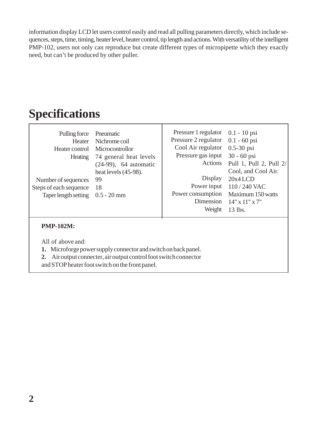information display LCD let users control easily and read all pulling parameters directly, which include sequences, steps, time, timing, heater level, heater control, tip length and actions. With versatility of the intelligent PMP-102, users not only can reproduce but create different types of micropipette which they exactly need, but can't be produced by other puller.

# **Specifications**

| Pulling force<br>Heater<br>Heating<br>Number of sequences<br>Steps of each sequence<br>Taper length setting $0.5 - 20$ mm | Pneumatic<br>Nichrome coil<br>Heater control Microcontrollor<br>74 general heat levels<br>$(24-99)$ , 64 automatic<br>heat levels $(45-98)$ .<br>99<br>18 | Pressure 1 regulator 0.1 - 10 psi<br>Pressure 2 regulator 0.1 - 60 psi<br>Cool Air regulator<br>Pressure gas input<br>Display<br>Power input<br>Power consumption<br>Dimension<br>Weight | $0.5 - 30$ psi<br>$30 - 60$ psi<br>Actions Pull 1, Pull 2, Pull 2/<br>Cool, and Cool Air.<br>$20x4$ LCD<br>$110/240$ VAC<br>Maximum 150 watts<br>$14" \times 11" \times 7"$<br>13 lbs. |
|---------------------------------------------------------------------------------------------------------------------------|-----------------------------------------------------------------------------------------------------------------------------------------------------------|------------------------------------------------------------------------------------------------------------------------------------------------------------------------------------------|----------------------------------------------------------------------------------------------------------------------------------------------------------------------------------------|
|---------------------------------------------------------------------------------------------------------------------------|-----------------------------------------------------------------------------------------------------------------------------------------------------------|------------------------------------------------------------------------------------------------------------------------------------------------------------------------------------------|----------------------------------------------------------------------------------------------------------------------------------------------------------------------------------------|

#### **PMP-102M:**

All of above and:

**1.** Microforge power supply connector and switch on back panel.

**2.** Air output connecter, air output control foot switch connector

and STOP heater foot switch on the front panel.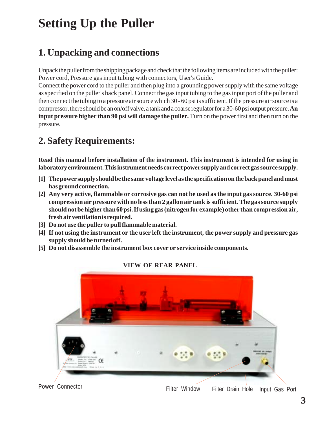# **Setting Up the Puller**

# **1. Unpacking and connections**

Unpack the puller from the shipping package and check that the following items are included with the puller: Power cord, Pressure gas input tubing with connectors, User's Guide.

Connect the power cord to the puller and then plug into a grounding power supply with the same voltage as specified on the puller's back panel. Connect the gas input tubing to the gas input port of the puller and then connect the tubing to a pressure air source which 30 - 60 psi is sufficient. If the pressure air source is a compressor, there should be an on/off valve, a tank and a coarse regulator for a 30-60 psi output pressure. **An input pressure higher than 90 psi will damage the puller.** Turn on the power first and then turn on the pressure.

# **2. Safety Requirements:**

**Read this manual before installation of the instrument. This instrument is intended for using in laboratory environment. This instrument needs correct power supply and correct gas source supply.**

- **The power supply should be the same voltage level as the specification on the back panel and must [1] has ground connection.**
- **Any very active, flammable or corrosive gas can not be used as the input gas source. 30-60 psi [2] compression air pressure with no less than 2 gallon air tank is sufficient. The gas source supply should not be higher than 60 psi. If using gas (nitrogen for example) other than compression air, fresh air ventilation is required.**
- **Do not use the puller to pull flammable material. [3]**
- **If not using the instrument or the user left the instrument, the power supply and pressure gas [4] supply should be turned off.**
- **Do not disassemble the instrument box cover or service inside components. [5]**



**VIEW OF REAR PANEL**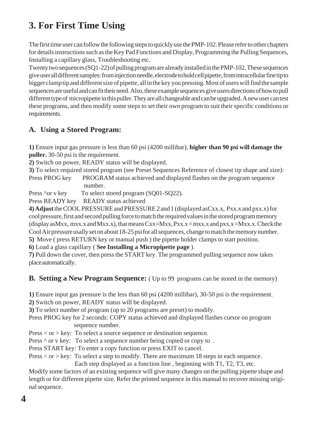# **3. For First Time Using**

The first time user can follow the following steps to quickly use the PMP-102. Please refer to other chapters for details instructions such as the Key Pad Functions and Display, Programming the Pulling Sequences, Installing a capillary glass, Troubleshooting etc.

Twenty two sequences (SQ1-22) of pulling program are already installed in the PMP-102. These sequences give user all different samples: from injection needle, electrode to hold cell pipette, from intracellular fine tip to bigger clamp tip and different size of pipette, all in the key you pressing. Most of users will find the sample sequences are useful and can fit their need. Also, these example sequences give users directions of how to pull different type of micropipette in this puller. They are all changeable and can be upgraded. A new user can test these programs, and then modify some steps to set their own program to suit their specific conditions or requirements.

#### **A. Using a Stored Program:**

**1)** Ensure input gas pressure is less than 60 psi (4200 millibar), **higher than 90 psi will damage the puller.** 30-50 psi is the requirement.

**2)** Switch on power, READY status will be displayed.

**3)** To select required stored program (see Preset Sequences Reference of closest tip shape and size):

Press PROG key PROGRAM status achieved and displayed flashes on the program sequence number.

Press ^or v key To select stored program (SQ01-SQ22).

Press READY key READY status achieved

**4) Adjust** the COOL PRESSURE and PRESSURE 2 and 1 (displayed asCxx.x, Pxx.x and pxx.x) for cool pressure, first and second pulling force to match the required values in the stored program memory (display as Mxx,  $mxx$  and Mxx, x), that means  $Cxx=Mxx$ ,  $Pxx$ ,  $x=mxx$ ,  $x$  and  $pxx$ ,  $x =Mxx$ ,  $x$ . Check the Cool Air pressure usally set on about 18-25 psi for all sequences, change to match the memory number.

**5)** Move ( press RETURN key or manual push ) the pipette holder clamps to start position.

**6)** Load a glass capillary ( **See Installing a Micropipette page** ).

**7)** Pull down the cover, then press the START key. The programmed pulling sequence now takes place automatically.

#### **B. Setting a New Program Sequence:** (Up to 99 programs can be stored in the memory)

**1)** Ensure input gas pressure is the less than 60 psi (4200 millibar), 30-50 psi is the requirement.

**2)** Switch on power, READY status will be displayed.

**3)** To select number of program (up to 20 programs are preset) to modify.

Press PROG key for 2 seconds: COPY status achieved and displayed flashes cursor on program sequence number.

Press < or > key: To select a source sequence or destination sequence.

Press  $\wedge$  or v key: To select a sequence number being copied or copy to.

Press START key: To enter a copy function or press EXIT to cancel.

Press < or > key: To select a step to modify. There are maximum 18 steps in each sequence.

Each step displayed as a function line , beginning with T1, T2, T3, etc.

Modify some factors of an existing sequence will give many changes on the pulling pipette shape and length or for different pipette size. Refer the printed sequence in this manual to recover missing original sequence.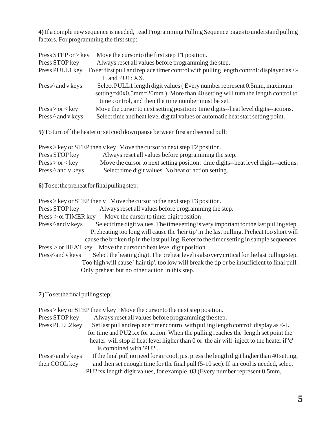**4)** If a comple new sequence is needed, read Programming Pulling Sequence pages to understand pulling factors. For programming the first step:

| Press STEP or $>$ key                           | Move the cursor to the first step T1 position.                                           |
|-------------------------------------------------|------------------------------------------------------------------------------------------|
| Press STOP key                                  | Always reset all values before programming the step.                                     |
| Press PULL1 key                                 | To set first pull and replace timer control with pulling length control: displayed as <- |
|                                                 | $L$ and $PUI: XX$ .                                                                      |
| Press <sup><math>\wedge</math></sup> and v keys | Select PULL1 length digit values (Every number represent 0.5mm, maximum                  |
|                                                 | setting= $40x0.5$ mm= $20$ mm). More than 40 setting will turn the length control to     |
|                                                 | time control, and then the time number must be set.                                      |
| Press > or < key                                | Move the cursor to next setting position: time digits-heat level digits-actions.         |
| Press $\wedge$ and v keys                       | Select time and heat level digital values or automatic heat start setting point.         |

**5)** To turn off the heater or set cool down pause between first and second pull:

|                           | $Press > key$ or STEP then v key Move the cursor to next step T2 position.         |
|---------------------------|------------------------------------------------------------------------------------|
| Press STOP key            | Always reset all values before programming the step.                               |
| Press > or < key          | Move the cursor to next setting position: time digits--heat level digits--actions. |
| Press $\wedge$ and v keys | Select time digit values. No heat or action setting.                               |

**6)** To set the preheat for final pulling step:

| $Press > key$ or STEP then v Move the cursor to the next step T3 position.                                        |
|-------------------------------------------------------------------------------------------------------------------|
| Always reset all values before programming the step.<br>Press STOP key                                            |
| Move the cursor to timer digit position<br>$Press > or TIMER$ key                                                 |
| Select time digit values. The time setting is very important for the last pulling step.<br>Press ^ and v keys     |
| Preheating too long will cause the 'heir tip' in the last pulling. Preheat too short will                         |
| cause the broken tip in the last pulling. Refer to the timer setting in sample sequences.                         |
| Move the cursor to heat level digit position<br>Press > or HEAT key                                               |
| Press^ and v keys<br>Select the heating digit. The preheat level is also very critical for the last pulling step. |
| Too high will cause 'hair tip', too low will break the tip or be insufficient to final pull.                      |
| Only preheat but no other action in this step.                                                                    |

**7 )** To set the final pulling step:

|                                                 | $Press > key$ or STEP then v key Move the cursor to the next step position.                 |
|-------------------------------------------------|---------------------------------------------------------------------------------------------|
| Press STOP key                                  | Always reset all values before programming the step.                                        |
| Press PULL2 key                                 | Set last pull and replace timer control with pulling length control: display as <-L         |
|                                                 | for time and PU2:xx for action. When the pulling reaches the length set point the           |
|                                                 | heater will stop if heat level higher than 0 or the air will inject to the heater if 'c'    |
|                                                 | is combined with 'PU2'.                                                                     |
| Press <sup><math>\wedge</math></sup> and v keys | If the final pull no need for air cool, just press the length digit higher than 40 setting, |
| then COOL key                                   | and then set enough time for the final pull (5-10 sec). If air cool is needed, select       |
|                                                 | PU2:xx length digit values, for example :03 (Every number represent 0.5mm,                  |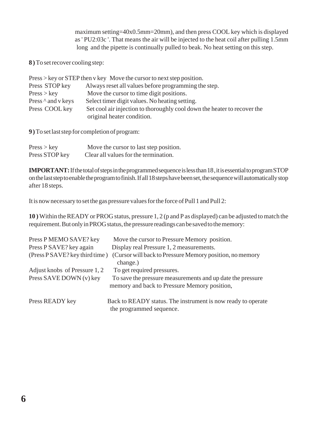maximum setting=40x0.5mm=20mm), and then press COOL key which is displayed as ' PU2:03c '. That means the air will be injected to the heat coil after pulling 1.5mm long and the pipette is continually pulled to beak. No heat setting on this step.

**8 )** To set recover cooling step:

|                           | $Press > key$ or STEP then v key Move the cursor to next step position.  |
|---------------------------|--------------------------------------------------------------------------|
| Press STOP key            | Always reset all values before programming the step.                     |
| Press > key               | Move the cursor to time digit positions.                                 |
| Press $\wedge$ and v keys | Select timer digit values. No heating setting.                           |
| Press COOL key            | Set cool air injection to thoroughly cool down the heater to recover the |
|                           | original heater condition.                                               |

**9 )** To set last step for completion of program:

| Press > key    | Move the cursor to last step position. |
|----------------|----------------------------------------|
| Press STOP key | Clear all values for the termination.  |

**IMPORTANT:** If the total of steps in the programmed sequence is less than 18 , it is essential to program STOP on the last step to enable the program to finish. If all 18 steps have been set, the sequence will automatically stop after 18 steps.

It is now necessary to set the gas pressure values for the force of Pull 1 and Pull 2:

**10 )** Within the READY or PROG status, pressure 1, 2 (p and P as displayed) can be adjusted to match the requirement. But only in PROG status, the pressure readings can be saved to the memory:

| Press P MEMO SAVE? key         | Move the cursor to Pressure Memory position.                 |
|--------------------------------|--------------------------------------------------------------|
| Press P SAVE? key again        | Display real Pressure 1, 2 measurements.                     |
| (Press P SAVE? key third time) | (Cursor will back to Pressure Memory position, no memory     |
|                                | change.)                                                     |
| Adjust knobs of Pressure 1, 2  | To get required pressures.                                   |
| Press SAVE DOWN (v) key        | To save the pressure measurements and up date the pressure   |
|                                | memory and back to Pressure Memory position,                 |
| Press READY key                | Back to READY status. The instrument is now ready to operate |
|                                | the programmed sequence.                                     |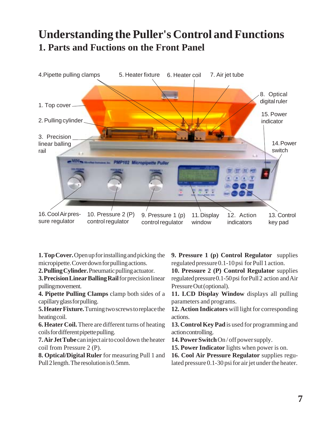# **Understanding the Puller's Control and Functions 1. Parts and Fuctions on the Front Panel**



**1. Top Cover.** Open up for installing and picking the micropipette. Cover down for pulling actions.

**2. Pulling Cylinder.** Pneumatic pulling actuator.

**3. Precision Linear Balling Rail** for precision linear pulling movement.

**4. Pipette Pulling Clamps** clamp both sides of a capillary glass for pulling.

**5. Heater Fixture.** Turning two screws to replace the heating coil.

**6. Heater Coil.** There are different turns of heating coils for different pipette pulling.

**7. Air Jet Tube** can inject air to cool down the heater coil from Pressure 2 (P).

**8. Optical/Digital Ruler** for measuring Pull 1 and Pull 2 length. The resolution is 0.5mm.

**9. Pressure 1 (p) Control Regulator** supplies regulated pressure 0.1-10 psi for Pull 1 action.

**10. Pressure 2 (P) Control Regulator** supplies regulated pressure 0.1-50 psi for Pull 2 action and Air Pressure Out (optional).

**11. LCD Display Window** displays all pulling parameters and programs.

**12. Action Indicators** will light for corresponding actions.

**13. Control Key Pad** is used for programming and action controlling.

**14. Power Switch** On / off power supply.

**15. Power Indicator** lights when power is on.

**16. Cool Air Pressure Regulator** supplies regulated pressure 0.1-30 psi for air jet under the heater.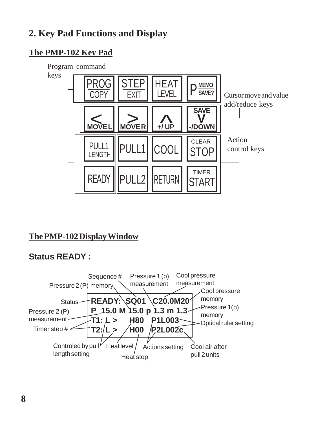# **2. Key Pad Functions and Display**

### **The PMP-102 Key Pad**



### **The PMP-102 Display Window**

## **Status READY :**

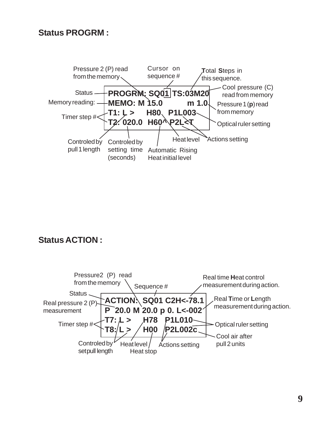#### **Status PROGRM :**



#### **Status ACTION :**

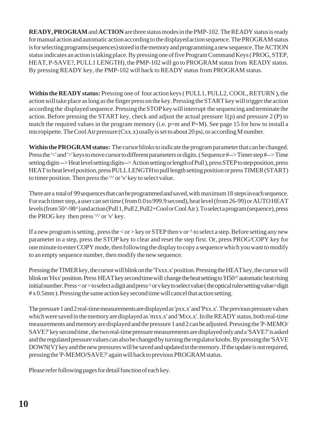**READY, PROGRAM** and **ACTION** are three status modes in the PMP-102. The READY status is ready for manual action and automatic action according to the displayed action sequence. The PROGRAM status is for selecting programs (sequences) stored in the memory and programming a new sequence. The ACTION status indicates an action is taking place. By pressing one of five Program Command Keys ( PROG, STEP, HEAT, P-SAVE?, PULL1 LENGTH), the PMP-102 will go to PROGRAM status from READY status. By pressing READY key, the PMP-102 will back to READY status from PROGRAM status.

**Within the READY status:** Pressing one of four action keys ( PULL1, PULL2, COOL, RETURN ), the action will take place as long as the finger press on the key. Pressing the START key will trigger the action according the displayed sequence. Pressing the STOP key will interrupt the sequencing and terminate the action. Before pressing the START key, check and adjust the actual pressure  $1(p)$  and pressure  $2 (P)$  to match the required values in the program memory (i.e. p=m and P=M). See page 15 for how to install a micropipette. The Cool Air pressure (Cxx.x) usally is set to about 20 psi, or according M number.

**Within the PROGRAM status:** The cursor blinks to indicate the program parameter that can be changed. Press the '<' and '>' keys to move cursor to different parameters or digits. ( Sequence #--> Timer step #--> Time setting digits --> Heat level setting digits--> Action setting or length of Pull ), press STEP to step position, press HEAT to heat level position, press PULL LENGTH to pull length setting position or press TIMER (START) to timer position. Then press the '^' or 'v' key to select value.

There are a total of 99 sequences that can be programmed and saved, with maximum 18 steps in each sequence. For each timer step, a user can set time ( from 0.0 to 999.9 second), heat level (from 26-99) or AUTO HEAT levels (from 50^-98^) and action (Pull 1, Pull 2, Pull2+Cool or Cool Air ). To select a program (sequence), press the PROG key then press '^' or 'v' key.

If a new program is setting, press the  $\langle$  or  $\rangle$  key or STEP then v or  $\wedge$  to select a step. Before setting any new parameter in a step, press the STOP key to clear and reset the step first. Or, press PROG/COPY key for one minute to enter COPY mode, then following the display to copy a sequence which you want to modify to an empty sequence number, then modify the new sequence.

Pressing the TIMER key, the cursor will blink on the 'Txxx.x' position. Pressing the HEAT key, the cursor will blink on 'Hxx' position. Press HEAT key second time will change the heat setting to 'H50^' automatic heat rising initial number. Press < or > to select a digit and press ^ or v key to select value ( the optical ruler setting value=digit # x 0.5mm ). Pressing the same action key second time will cancel that action setting.

The pressure 1 and 2 real-time measurements are displayed as 'pxx.x' and 'Pxx.x'. The previous pressure values which were saved in the memory are displayed as 'mxx.x' and 'Mxx.x'. In the READY status, both real-time measurements and memory are displayed and the pressure 1 and 2 can be adjusted. Pressing the 'P-MEMO/ SAVE?' key second time , the two real-time pressure measurements are displayed only and a 'SAVE?' is asked and the regulated pressure values can also be changed by turning the regulator knobs. By pressing the 'SAVE DOWN(V)' key and the new pressures will be saved and updated in the memory. If the update is not required, pressing the 'P-MEMO/SAVE?' again will back to previous PROGRAM status.

Please refer following pages for detail function of each key.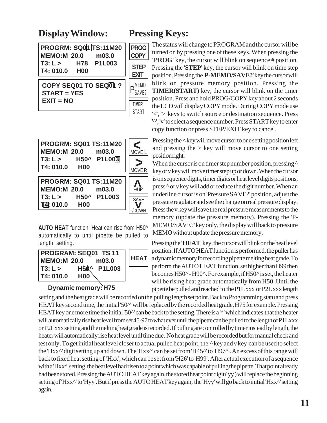## **Display Window: Pressing Keys:**

**EXIT = NO**

|                      |  | <b>PROGRM: SQ01 TS:11M20</b> |  |
|----------------------|--|------------------------------|--|
| <b>MEMO:M 20.0</b>   |  | m03.0                        |  |
| T3: L >              |  | H78 P1L003                   |  |
| T4: 010.0 H00        |  |                              |  |
|                      |  |                              |  |
| COPY SEQ01 TO SEQ01? |  |                              |  |
| <b>START = YES</b>   |  |                              |  |

**COPY STEP EXIT** P<sub>SAVE?</sub> **TIMER** START

**PROG**

| <b>PROGRM: SQ01 TS:11M20</b><br>MEMO:M 20.0 m03.0<br>T3: L > H50^ P1L003<br>T4: 010.0 H00 | MOVE L<br><b>MOVER</b>              |
|-------------------------------------------------------------------------------------------|-------------------------------------|
| <b>PROGRM: SQ01 TS:11M20</b><br>MEMO:M 20.0 m03.0<br>T3: L > H50^ P1L003<br>T4: 010.0 H00 | Λ<br>$+/\mathrm{UP}$<br><b>SAVE</b> |
|                                                                                           |                                     |

**AUTO HEAT** function: Heat can rise from H50^ automatically to until pipette be pulled to length setting.

|             | <b>PROGRAM: SEQ01 TS 11</b> |             |
|-------------|-----------------------------|-------------|
| MEMO:M 20.0 | m03.0                       | <b>HEAT</b> |
| T3: L >     | H50 <sup>^</sup> P1L003     |             |
| T4: 010.0   | <b>H00</b>                  |             |

The status will change to PROGRAM and the cursor will be turned on by pressing one of these keys. When pressing the **PROG'** key, the cursor will blink on sequence # position. Pressing the '**STEP**' key, the cursor will blink on time step position. Pressing the '**P-MEMO/SAVE?**' key the cursor will blink on pressure memory position. Pressing the **TIMER(START)** key, the cursor will blink on the timer position. Press and hold PROG/COPY key about 2 seconds the LCD will display COPY mode. During COPY mode use

'<', '>' keys to switch source or destination sequence. Press '^', 'v' to select a sequence number. Press START key to enter copy function or press STEP/EXIT key to cancel.

Pressing the < key will move cursor to one setting position left and pressing the  $>$  key will move cursor to one setting position right.

When the cursor is on timer step number position, pressing  $\wedge$ key or v key will move timer step up or down. When the cursor is on sequence digits, timer digits or heat level digits positions, press ^ or v key will add or reduce the digit number. When an underline cursor is on 'Pressure SAVE?' position, adjust the pressure regulator and see the change on real pressure display. Press the v key will save the real pressure measurements to the memory (update the pressure memory). Pressing the 'P-MEMO/SAVE?' key only, the display will back to pressure MEMO without update the pressure memory.

Pressing the **'HEAT'** key, the cursor will blink on the heat level position. If AUTO HEAT function is performed, the puller has a dynamic memory for recording pipette melting heat grade. To perform the AUTO HEAT function, set higher than H99 then becomes H50^ - H90^. For example, if H50^ is set, the heater will be rising heat grade automatically from H50. Until the **Dynamic memory: H75** pipette be pulled and reached to the P1L xxx or P2L xxx length

setting and the heat grade will be recorded on the pulling length set point. Back to Programming statu and press HEAT key second time, the initial '50^' will be replaced by the recorded heat grade, H75 for example. Pressing HEAT key one more time the initial '50^' can be back to the setting. There is a '^' which indicates that the heater will automatically rise heat level from set 45-97 to what ever until the pipette can be pulled to the length of P1Lxxx or P2Lxxx setting and the melting heat grade is recorded. If pulling are controlled by timer instead by length, the heater will automatically rise heat level until time due. No heat grade will be recorded but for manual check and test only. To get initial heat level closer to actual pulled heat point, the ^ key and v key can be used to select the 'Hxx^' digit setting up and down. The 'Hxx^' can be set from 'H45^' to 'H97^'. An excess of this range will back to fixed heat setting of 'Hxx', which can be set from 'H26' to 'H99'. After actual execution of a sequence with a 'Hxx^' setting, the heat level had risen to a point which was capable of pulling the pipette. That point already had been stored. Pressing the AUTO HEAT key again, the stored heat point digit ( yy ) will replace the beginning setting of 'Hxx^' to 'Hyy'. But if press the AUTO HEAT key again, the 'Hyy' will go back to initial 'Hxx^' setting again.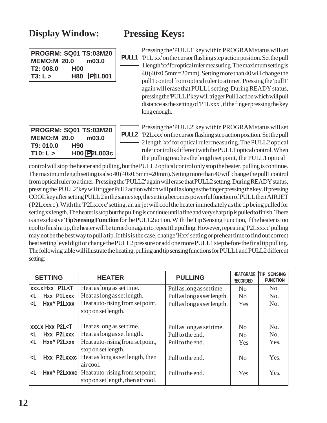## **Display Window: Pressing Keys:**

| <b>PROGRM: SQ01 TS:03M20</b> |            |           |  |  |
|------------------------------|------------|-----------|--|--|
| <b>MEMO:M 20.0</b>           |            | m03.0     |  |  |
| T <sub>2</sub> : 008.0       | <b>H00</b> |           |  |  |
| T3: L >                      | <b>H80</b> | $P1$ LOO1 |  |  |

Pressing the 'PULL1' key within PROGRAM status will set 'P1L:xx' on the cursor flashing step action position. Set the pull 1 length 'xx' for optical ruler measuring. The maximum setting is 40 (40x0.5mm=20mm). Setting more than 40 will change the pull1 control from optical ruler to a timer. Pressing the 'pull1' again will erase that PULL1 setting. During READY status, pressing the 'PULL1' key will trigger Pull 1 action which will pull distance as the setting of 'P1Lxxx', if the finger pressing the key long enough. **PULL1**

| <b>PROGRM: SQ01 TS:03M20</b><br>m03.0<br>MEMO:M 20.0 |             |  | <b>PULL2</b> |
|------------------------------------------------------|-------------|--|--------------|
| T9: 010.0                                            | <b>H90</b>  |  |              |
| T10: L >                                             | H00 P2L003c |  |              |

Pressing the 'PULL2' key within PROGRAM status will set 'P2Lxxx' on the cursor flashing step action position. Set the pull 2 length 'xx' for optical ruler measuring. The PULL2 optical ruler control is different with the PULL1 optical control. When the pulling reaches the length set point, the PULL1 optical

control will stop the heater and pulling, but the PULL2 optical control only stop the heater, pulling is continue. The maximum length setting is also 40 (40x0.5mm=20mm). Setting more than 40 will change the pull1 control from optical ruler to a timer. Pressing the 'PULL2' again will erase that PULL2 setting. During READY status, pressing the 'PULL2' key will trigger Pull 2 action which will pull as long as the finger pressing the key. If pressing COOL key after setting PULL 2 in the same step, the setting becomes powerful function of PULL then AIR JET ( P2Lxxx c ). With the 'P2Lxxx c' setting, an air jet will cool the heater immediately as the tip being pulled for setting xx length. The heater is stop but the pulling is continue until a fine and very sharp tip is pulled to finish. There is an exclusive **Tip Sensing Function** for the PULL2 action. With the Tip Sensing Function, if the heater is too cool to finish a tip, the heater will be turned on again to repeat the pulling. However, repeating 'P2Lxxx c' pulling may not be the best way to pull a tip. If this is the case, change 'Hxx' setting or preheat time to find out correct heat setting level digit or change the PULL2 pressure or add one more PULL1 step before the final tip pulling. The following table will illustrate the heating, pulling and tip sensing functions for PULL1 and PULL2 different setting:

| <b>SETTING</b>                                                                                                                                    | <b>HEATER</b>                                                          | <b>PULLING</b>              | <b>HEAT GRADE</b><br><b>RECORDED</b> | <b>TIP SENSING</b><br><b>FUNCTION</b> |
|---------------------------------------------------------------------------------------------------------------------------------------------------|------------------------------------------------------------------------|-----------------------------|--------------------------------------|---------------------------------------|
| <b>XXX.X HXX P1L<t< b=""></t<></b>                                                                                                                | Heat as long as set time.                                              | Pull as long as set time.   | No                                   | No.                                   |
| Hxx P1Lxxx<br><l< th=""><th>Heat as long as set length.</th><th>Pull as long as set length.</th><th>No</th><th>No.</th></l<>                      | Heat as long as set length.                                            | Pull as long as set length. | No                                   | No.                                   |
| Hxx^ P1Lxxx<br><l< th=""><th>Heat auto-rising from set point,</th><th>Pull as long as set length.</th><th>Yes</th><th>No.</th></l<>               | Heat auto-rising from set point,                                       | Pull as long as set length. | Yes                                  | No.                                   |
|                                                                                                                                                   | stop on set length.                                                    |                             |                                      |                                       |
| <b>XXX.X HXX P2L<t< b=""></t<></b>                                                                                                                | Heat as long as set time.                                              | Pull as long as set time.   | No                                   | No.                                   |
| Hxx P2Lxxx<br><l< th=""><td>Heat as long as set length.</td><td>Pull to the end.</td><td>No</td><td>No.</td></l<>                                 | Heat as long as set length.                                            | Pull to the end.            | No                                   | No.                                   |
| Hxx^ P2Lxxx<br><l< th=""><th>Heat auto-rising from set point,<br/>stop on set length.</th><th>Pull to the end.</th><th>Yes</th><th>Yes.</th></l<> | Heat auto-rising from set point,<br>stop on set length.                | Pull to the end.            | Yes                                  | Yes.                                  |
| Hxx P2Lxxxc<br>$\langle$ L                                                                                                                        | Heat as long as set length, then<br>aircool.                           | Pull to the end.            | No                                   | Yes.                                  |
| Hxx^ P2Lxxxc <br>$\langle$ L                                                                                                                      | Heat auto-rising from set point,<br>stop on set length, then air cool. | Pull to the end.            | Yes                                  | Yes.                                  |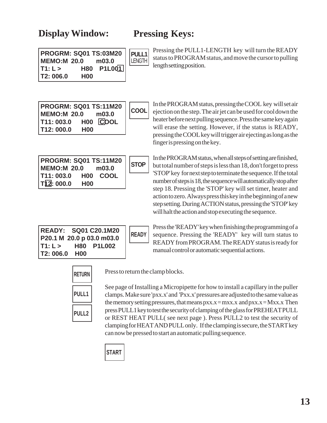### **Display Window: Pressing Keys:**

**PULL1**

LENGTH

| <b>PROGRM: SQ01 TS:03M20</b> |            |        |  |
|------------------------------|------------|--------|--|
| MEMO:M 20.0<br>m03.0         |            |        |  |
| T1: L >                      | <b>H80</b> | P1L001 |  |
| T2:006.0                     | <b>H00</b> |        |  |

Pressing the PULL1-LENGTH key will turn the READY status to PROGRAM status, and move the cursor to pulling length setting position.

| PROGRM: SQ01 TS:11M20   COOL<br>MEMO:M 20.0 m03.0 |                  |          |  |
|---------------------------------------------------|------------------|----------|--|
| T11:003.0                                         |                  | H00 COOL |  |
| T12:000.0                                         | H <sub>0</sub> 0 |          |  |

| PROGRM: SQ01 TS:11M20    <br><b>MEMO:M 20.0</b> | <b>STOP</b>    |          |  |
|-------------------------------------------------|----------------|----------|--|
| T11: 003.0<br>T12: 000.0                        | H <sub>0</sub> | H00 COOL |  |

In the PROGRAM status, pressing the COOL key will set air ejection on the step. The air jet can be used for cool down the heater before next pulling sequence. Press the same key again will erase the setting. However, if the status is READY, pressing the COOL key will trigger air ejecting as long as the finger is pressing on the key.

In the PROGRAM status, when all steps of setting are finished, but total number of steps is less than 18, don't forget to press 'STOP' key for next step to terminate the sequence. If the total number of steps is 18, the sequence will automatically stop after step 18. Pressing the 'STOP' key will set timer, heater and action to zero. Always press this key in the beginning of a new step setting. During ACTION status, pressing the 'STOP' key will halt the action and stop executing the sequence.

| <b>READY: SQ01 C20.1M20</b> |                 |                   |  |
|-----------------------------|-----------------|-------------------|--|
| P20.1 M 20.0 p 03.0 m03.0   |                 |                   |  |
| T1: L > 1                   |                 | <b>H80 P1L002</b> |  |
| T <sub>2</sub> : 006.0      | H <sub>00</sub> |                   |  |

Press the 'READY' key when finishing the programming of a sequence. Pressing the 'READY' key will turn status to READY from PROGRAM. The READY status is ready for manual control or automatic sequential actions.

| RETURN       |
|--------------|
| <b>PULL1</b> |
| <b>PULL2</b> |

Press to return the clamp blocks.

**READY**

See page of Installing a Micropipette for how to install a capillary in the puller clamps. Make sure 'pxx.x' and 'Pxx.x' pressures are adjusted to the same value as the memory setting pressures, that means  $pxx.x = mxx.x$  and  $pxx.x = Mxx.x$  Then press PULL1 key to test the security of clamping of the glass for PREHEAT PULL or REST HEAT PULL( see next page ). Press PULL2 to test the security of clamping for HEAT AND PULL only. If the clamping is secure, the START key can now be pressed to start an automatic pulling sequence.

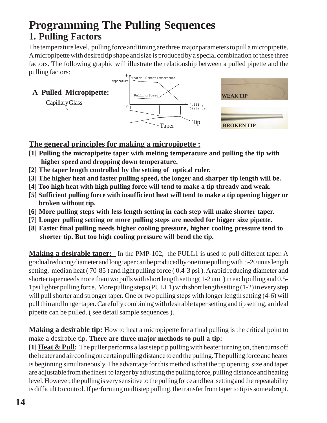# **Programming The Pulling Sequences 1. Pulling Factors**

The temperature level, pulling force and timing are three major parameters to pull a micropipette. A micropipette with desired tip shape and size is produced by a special combination of these three factors. The following graphic will illustrate the relationship between a pulled pipette and the pulling factors:



#### **The general principles for making a micropipette :**

- **[1] Pulling the micropipette taper with melting temperature and pulling the tip with higher speed and dropping down temperature.**
- **[2] The taper length controlled by the setting of optical ruler.**
- **[3] The higher heat and faster pulling speed, the longer and sharper tip length will be.**
- **[4] Too high heat with high pulling force will tend to make a tip thready and weak.**
- **[5] Sufficient pulling force with insufficient heat will tend to make a tip opening bigger or broken without tip.**
- **[6] More pulling steps with less length setting in each step will make shorter taper.**
- **[7] Longer pulling setting or more pulling steps are needed for bigger size pipette.**
- **[8] Faster final pulling needs higher cooling pressure, higher cooling pressure tend to shorter tip. But too high cooling pressure will bend the tip.**

**Making a desirable taper:** In the PMP-102, the PULL1 is used to pull different taper. A gradual reducing diameter and long taper can be produced by one time pulling with 5-20 units length setting, median heat ( 70-85 ) and light pulling force ( 0.4-3 psi ). A rapid reducing diameter and shorter taper needs more than two pulls with short length setting( 1-2 unit ) in each pulling and 0.5- 1psi lighter pulling force. More pulling steps (PULL1) with short length setting (1-2) in every step will pull shorter and stronger taper. One or two pulling steps with longer length setting (4-6) will pull thin and longer taper. Carefully combining with desirable taper setting and tip setting, an ideal pipette can be pulled. ( see detail sample sequences ).

**Making a desirable tip:** How to heat a micropipette for a final pulling is the critical point to make a desirable tip. **There are three major methods to pull a tip:**

**[1]Heat & Pull:** The puller performs a last step tip pulling with heater turning on, then turns off the heater and air cooling on certain pulling distance to end the pulling. The pulling force and heater is beginning simultaneously. The advantage for this method is that the tip opening size and taper are adjustable from the finest to larger by adjusting the pulling force, pulling distance and heating level. However, the pulling is very sensitive to the pulling force and heat setting and the repeatability is difficult to control. If performing multistep pulling, the transfer from taper to tip is some abrupt.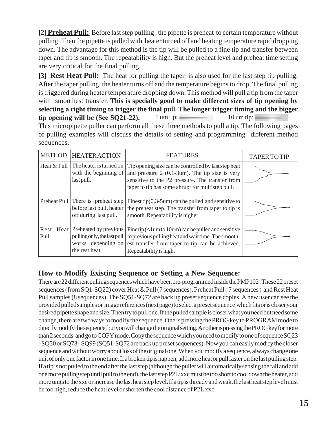**[2] Preheat Pull:** Before last step pulling , the pipette is preheat to certain temperature without pulling. Then the pipette is pulled with heater turned off and heating temperature rapid dropping down. The advantage for this method is the tip will be pulled to a fine tip and transfer between taper and tip is smooth. The repeatability is high. But the preheat level and preheat time setting are very critical for the final pulling.

**[3] Rest Heat Pull:** The heat for pulling the taper is also used for the last step tip pulling. After the taper pulling, the heater turns off and the temperature begins to drop. The final pulling is triggered during heater temperature dropping down. This method will pull a tip from the taper with smoothest transfer. **This is specially good to make different sizes of tip opening by selecting a right timing to trigger the final pull. The longer trigger timing and the bigger tip opening will be (See SQ21-22).** 1 um tip:  $10 \text{ um tip:}$ 

This micropipette puller can perform all these three methods to pull a tip. The following pages of pulling examples will discuss the details of setting and programming different method sequences.

| <b>METHOD</b> | <b>HEATER ACTION</b>                                                                              | <b>FEATURES</b>                                                                                                                                                                                                 | <b>TAPER TO TIP</b> |
|---------------|---------------------------------------------------------------------------------------------------|-----------------------------------------------------------------------------------------------------------------------------------------------------------------------------------------------------------------|---------------------|
| Heat & Pull   | The heater is turned on<br>with the beginning of<br>last pull.                                    | Tip opening size can be controlled by last step heat<br>and pressure $2$ (0.1-3um). The tip size is very<br>sensitive to the P2 pressure. The transfer from<br>taper to tip has some abrupt for multistep pull. |                     |
|               | Preheat Pull There is preheat step<br>before last pull, heater<br>off during last pull.           | Finest tip $(0.3-5$ um) can be pulled and sensitive to<br>the preheat step. The transfer from taper to tip is<br>smooth. Repeatability is higher.                                                               |                     |
| Rest<br>Pull  | Heat Preheated by previous<br>pulling only, the last pull<br>works depending on<br>the rest heat. | Fine tip $($ I um to 10um) can be pulled and sensitive<br>to previous pulling heat and wait time. The smooth-<br>est transfer from taper to tip can be achieved.<br>Repeatability is high.                      |                     |

#### **How to Modify Existing Sequence or Setting a New Sequence:**

There are 22 different pulling sequences which have been pre-programmed inside the PMP102 . These 22 preset sequences (from SQ1-SQ22) cover Heat & Pull (7 sequences), Preheat Pull ( 7 sequences ) and Rest Heat Pull samples (8 sequences). The SQ51-SQ72 are back up preset sequence copies. A new user can see the provided pulled samples or image references (next page) to select a preset sequence which fits or is closer your desired pipette shape and size. Then try to pull one. If the pulled sample is closer what you need but need some change, there are two ways to modify the sequence. One is pressing the PROG key to PROGRAM mode to directly modify the sequence, but you will change the original setting. Another is pressing the PROG key for more than 2 seconds and go to COPY mode. Copy the sequence which you need to modify to one of sequence SQ23 - SQ50 or SQ73 - SQ99 (SQ51-SQ72 are back up preset sequences). Now you can easily modify the closer sequence and without worry about loss of the original one. When you modify a sequence, always change one unit of only one factor in one time. If a broken tip is happen, add more heat or pull faster on the last pulling step. If a tip is not pulled to the end after the last step (although the puller will automatically sensing the fail and add one more pulling step until pull to the end), the last step P2L:xxc must be too short to cool down the heater, add more units to the xxc or increase the last heat step level. If a tip is thready and weak, the last heat step level must be too high, reduce the heat level or shorten the cool distance of P2L xxc.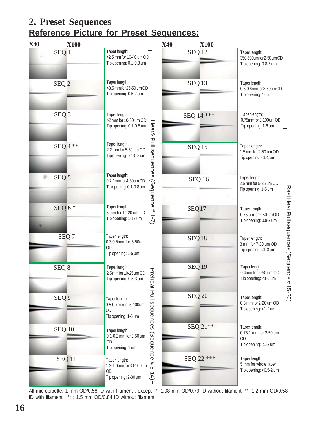## **2. Preset Sequences Reference Picture for Preset Sequences:**



All micropipette: 1 mm OD/0.58 ID with filament , except \*: 1.08 mm OD/0.79 ID without filament, \*\*: 1.2 mm OD/0.58 ID with filament, \*\*\*: 1.5 mm OD/0.84 ID without filament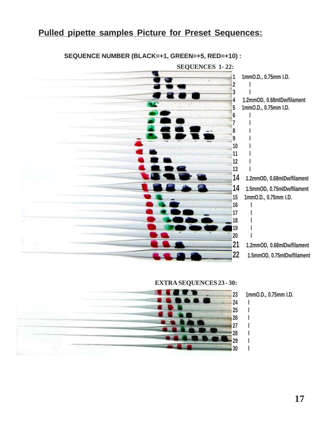#### **Pulled pipette samples Picture for Preset Sequences:**



#### **SEQUENCE NUMBER (BLACK=+1, GREEN=+5, RED=+10) :**





**23 1mmO.D., 0.75mm I.D.**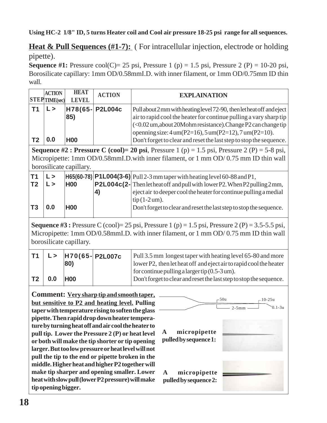**Using HC-2 1/8" ID, 5 turns Heater coil and Cool air pressure 18-25 psi range for all sequences.**

**Heat & Pull Sequences (#1-7):** ( For intracellular injection, electrode or holding pipette).

**Sequence #1:** Pressure cool(C)= 25 psi, Pressure 1 (p) = 1.5 psi, Pressure 2 (P) = 10-20 psi, Borosilicate capillary: 1mm OD/0.58mmI.D. with inner filament, or 1mm OD/0.75mm ID thin wall.

|    | <b>ACTION</b><br><b>STEPTIME</b> (sec) | <b>HEAT</b><br><b>LEVEL</b> | <b>ACTION</b>   | <b>EXPLAINATION</b>                                                                                                                                                                                                                                                                                                                                                                        |
|----|----------------------------------------|-----------------------------|-----------------|--------------------------------------------------------------------------------------------------------------------------------------------------------------------------------------------------------------------------------------------------------------------------------------------------------------------------------------------------------------------------------------------|
| T2 | $\mathsf{L}$<br>0.0                    | 85)<br><b>H00</b>           | H78(65- P2L004c | Pull about 2 mm with heating level 72-90, then let heat off and eject<br>air to rapid cool the heater for continue pulling a vary sharp tip<br>$\vert$ (<0.02 um, about 20Mohm resistance). Change P2 can change tip $\vert$<br>openning size: $4 \text{um}(P2=16)$ , $5 \text{um}(P2=12)$ , $7 \text{um}(P2=10)$ .<br>Don't forget to clear and reset the last step to stop the sequence. |

**Sequence #2 : Pressure C (cool)= 20 psi,** Pressure 1 (p) = 1.5 psi, Pressure 2 (P) = 5-8 psi, Micropipette: 1mm OD/0.58mmI.D.with inner filament, or 1 mm OD/ 0.75 mm ID thin wall borosilicate capillary.

| T <sub>1</sub> | L > |            |    | $ H65(60-78) $ P1L004(3-6) Pull 2-3 mm taper with heating level 60-88 and P1,                |
|----------------|-----|------------|----|----------------------------------------------------------------------------------------------|
| T <sub>2</sub> | L>  | <b>H00</b> |    | <b>P2L004c(2-</b> Then let heat off and pull with lower P2. When P2 pulling $2 \text{ mm}$ , |
|                |     |            | 4) | eject air to deeper cool the heater for continue pulling a medial                            |
|                |     |            |    | $\text{tip}(1-2 \text{um}).$                                                                 |
| T3             | 0.0 | <b>H00</b> |    | Don't forget to clear and reset the last step to stop the sequence.                          |
|                |     |            |    |                                                                                              |

**Sequence #3 :** Pressure C (cool)= 25 psi, Pressure 1 (p) = 1.5 psi, Pressure 2 (P) = 3.5-5.5 psi, Micropipette: 1mm OD/0.58mmI.D. with inner filament, or 1 mm OD/ 0.75 mm ID thin wall borosilicate capillary.

|     | 80)        | $L >$  H70(65- P2L007c | Pull 3.5 mm longest taper with heating level 65-80 and more<br>lower P2, then let heat off and eject air to rapid cool the heater |
|-----|------------|------------------------|-----------------------------------------------------------------------------------------------------------------------------------|
| 0.0 | <b>H00</b> |                        | for continue pulling a larger tip $(0.5-3 \text{ um})$ .<br>Don't forget to clear and reset the last step to stop the sequence.   |

**Comment: Very sharp tip and smooth taper, but sensitive to P2 and heating level. Pulling taper with temperature rising to soften the glass pipette. Then rapid drop down heater temperature by turning heat off and air cool the heater to pull tip. Lower the Pressure 2 (P) or heat level or both will make the tip shorter or tip opening larger. But too low pressure or heat level will not pull the tip to the end or pipette broken in the middle.Higher heat and higher P2 together will make tip sharper and opening smaller. Lower heat with slow pull (lower P2 pressure) will make tip opening bigger.**

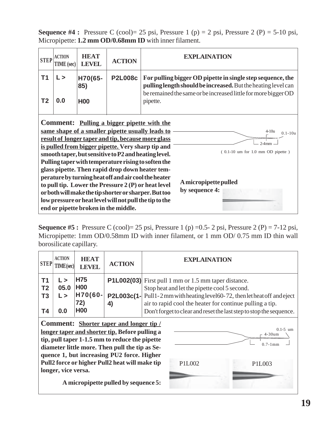**Sequence #4 :** Pressure C (cool)= 25 psi, Pressure 1 (p) = 2 psi, Pressure 2 (P) = 5-10 psi, Micropipette: **1.2 mm OD/0.68mm ID** with inner filament.

| <b>STEP</b>                                                                                                                                                                                                                                                                                                                                                                                                                                                                                                                                                                                                                                                                                                                                    | <b>ACTION</b><br><b>TIME</b> (sec) | <b>HEAT</b><br><b>LEVEL</b> | <b>ACTION</b>  | <b>EXPLAINATION</b>                                                                                                                                                                           |  |  |
|------------------------------------------------------------------------------------------------------------------------------------------------------------------------------------------------------------------------------------------------------------------------------------------------------------------------------------------------------------------------------------------------------------------------------------------------------------------------------------------------------------------------------------------------------------------------------------------------------------------------------------------------------------------------------------------------------------------------------------------------|------------------------------------|-----------------------------|----------------|-----------------------------------------------------------------------------------------------------------------------------------------------------------------------------------------------|--|--|
| T <sub>1</sub>                                                                                                                                                                                                                                                                                                                                                                                                                                                                                                                                                                                                                                                                                                                                 | $\mathsf{L}$                       | H70(65-<br>85)              | <b>P2L008c</b> | For pulling bigger OD pipette in single step sequence, the<br>pulling length should be increased. But the heating level can<br>be remained the same or be increased little for more bigger OD |  |  |
| T <sub>2</sub>                                                                                                                                                                                                                                                                                                                                                                                                                                                                                                                                                                                                                                                                                                                                 | 0.0                                | <b>H00</b>                  | pipette.       |                                                                                                                                                                                               |  |  |
| <b>Comment:</b> Pulling a bigger pipette with the<br>same shape of a smaller pipette usually leads to<br>$4-10u$<br>$0.1 - 10u$<br>result of longer taper and tip, because more glass<br>$2-4$ mm<br>is pulled from bigger pipette. Very sharp tip and<br>$(0.1-10$ um for 1.0 mm OD pipette)<br>smooth taper, but sensitive to P2 and heating level.<br>Pulling taper with temperature rising to soften the<br>glass pipette. Then rapid drop down heater tem-<br>perature by turning heat off and air cool the heater<br>A micropipette pulled<br>to pull tip. Lower the Pressure $2(P)$ or heat level<br>by sequence 4:<br>or both will make the tip shorter or sharper. But too<br>low pressure or heat level will not pull the tip to the |                                    |                             |                |                                                                                                                                                                                               |  |  |

**Sequence #5 :** Pressure C (cool)= 25 psi, Pressure 1 (p) =0.5- 2 psi, Pressure 2 (P) = 7-12 psi, Micropipette: 1mm OD/0.58mm ID with inner filament, or 1 mm OD/ 0.75 mm ID thin wall borosilicate capillary.

| <b>ACTION</b><br><b>STEP</b> | <b>HEAT</b><br><b>LEVEL</b> | <b>ACTION</b> | <b>EXPLAINATION</b>                                                         |
|------------------------------|-----------------------------|---------------|-----------------------------------------------------------------------------|
| 05.0                         | <b>H75</b>                  | 4)            | P1L002(03) First pull 1 mm or 1.5 mm taper distance.                        |
| T <sub>2</sub>               | <b>H00</b>                  |               | Stop heat and let the pipette cool 5 second.                                |
| T3                           | H70(60-                     |               | P2L003c(1- Pull1-2 mm with heating level 60-72, then let heat off and eject |
| Т4                           | 72)                         |               | air to rapid cool the heater for continue pulling a tip.                    |
| 0.0                          | <b>H00</b>                  |               | Don't forget to clear and reset the last step to stop the sequence.         |

**Comment: Shorter taper and longer tip / longer taper and shorter tip. Before pulling a tip, pull taper 1-1.5 mm to reduce the pipette diameter little more. Then pull the tip as Sequence 1, but increasing PU2 force. Higher Pull2 force or higher Pull2 heat will make tip longer, vice versa.**

**A micropipette pulled by sequence 5:**

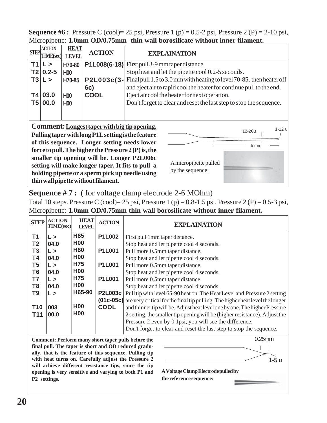**Sequence #6 :** Pressure C (cool)= 25 psi, Pressure 1 (p) = 0.5-2 psi, Pressure 2 (P) = 2-10 psi, Micropipette: **1.0mm OD/0.75mm thin wall borosilicate without inner filament.**

| <b>STEP</b>    | <b>ACTION</b><br><b>TIME(sec)</b> | <b>HEAT</b><br><b>LEVEL</b>    | <b>ACTION</b>                                                                                                                                                                                                                                                                                                                                                      | <b>EXPLAINATION</b>                                                                                                                                                                                                                                    |
|----------------|-----------------------------------|--------------------------------|--------------------------------------------------------------------------------------------------------------------------------------------------------------------------------------------------------------------------------------------------------------------------------------------------------------------------------------------------------------------|--------------------------------------------------------------------------------------------------------------------------------------------------------------------------------------------------------------------------------------------------------|
| T1<br>T2<br>T3 | $\mathsf{L}$<br>$0.2 - 5$<br>L >  | H70-80<br><b>H00</b><br>H70-85 | P2L003c(3-<br>6c)                                                                                                                                                                                                                                                                                                                                                  | $P1L008(6-18)$ First pull 3-9 mm taper distance.<br>Stop heat and let the pipette cool 0.2-5 seconds.<br>Final pull 1.5 to 3.0 mm with heating to level 70-85, then heater off<br>and eject air to rapid cool the heater for continue pull to the end. |
| Τ4<br>T5       | 03.0<br>00.0                      | <b>H00</b><br>H <sub>00</sub>  | <b>COOL</b>                                                                                                                                                                                                                                                                                                                                                        | Eject air cool the heater for next operation.<br>Don't forget to clear and reset the last step to stop the sequence.                                                                                                                                   |
|                |                                   |                                | Comment: Longest taper with big tip opening.<br>Pulling taper with long P1L setting is the feature<br>of this sequence. Longer setting needs lower<br>force to pull. The higher the Pressure $2(P)$ is, the<br>smaller tip opening will be. Longer P2L006c<br>setting will make longer taper. It fits to pull a<br>holding pipette or a sperm pick up needle using | $1-12$ u<br>12-20u<br>5 mm<br>A micropipette pulled<br>by the sequence:                                                                                                                                                                                |

**Sequence # 7 :** ( for voltage clamp electrode 2-6 MOhm)

**thin wall pipette without filament.**

Total 10 steps. Pressure C (cool)= 25 psi, Pressure 1 (p) =  $0.8-1.5$  psi, Pressure 2 (P) =  $0.5-3$  psi, Micropipette: **1.0mm OD/0.75mm thin wall borosilicate without inner filament.**

| <b>STEP</b>              | <b>ACTION</b><br><b>TIME(sec)</b> | <b>HEAT</b><br><b>LEVEL</b> | <b>ACTION</b>  | <b>EXPLAINATION</b>                                                                                                                                                                                                                                        |
|--------------------------|-----------------------------------|-----------------------------|----------------|------------------------------------------------------------------------------------------------------------------------------------------------------------------------------------------------------------------------------------------------------------|
| <b>T1</b>                | L >                               | H85                         | <b>P1L002</b>  | First pull 1 mm taper distance.                                                                                                                                                                                                                            |
| T <sub>2</sub>           | 04.0                              | <b>H00</b>                  |                | Stop heat and let pipette cool 4 seconds.                                                                                                                                                                                                                  |
| T3                       | L >                               | <b>H80</b>                  | <b>P1L001</b>  | Pull more 0.5mm taper distance.                                                                                                                                                                                                                            |
| <b>T4</b>                | 04.0                              | <b>H00</b>                  |                | Stop heat and let pipette cool 4 seconds.                                                                                                                                                                                                                  |
| T <sub>5</sub>           | L >                               | H75                         | <b>P1L001</b>  | Pull more 0.5mm taper distance.                                                                                                                                                                                                                            |
| T <sub>6</sub>           | 04.0                              | <b>H00</b>                  |                | Stop heat and let pipette cool 4 seconds.                                                                                                                                                                                                                  |
| T7                       | L >                               | H75                         | <b>P1L001</b>  | Pull more 0.5mm taper distance.                                                                                                                                                                                                                            |
| T <sub>8</sub>           | 04.0                              | <b>H00</b>                  |                | Stop heat and let pipette cool 4 seconds.                                                                                                                                                                                                                  |
| T <sub>9</sub>           | L >                               | H65-90                      | <b>P2L003c</b> | Pull tip with level 65-90 heat on. The Heat Level and Pressure 2 setting                                                                                                                                                                                   |
| <b>T10</b><br><b>T11</b> | 003<br>00.0                       | <b>H00</b><br><b>H00</b>    | <b>COOL</b>    | <b>(01c-05c)</b> are very critical for the final tip pulling. The higher heat level the longer<br>and thinner tip will be. Adjust heat level one by one. The higher Pressure<br>2 setting, the smaller tip opening will be (higher resistance). Adjust the |
|                          |                                   |                             |                | Pressure 2 even by 0.1psi, you will see the difference.<br>Don't forget to clear and reset the last step to stop the sequence.                                                                                                                             |

**Comment: Perform many short taper pulls before the final pull. The taper is short and OD reduced gradually, that is the feature of this sequence. Pulling tip with heat turns on. Carefully adjust the Pressure 2 will achieve different resistance tips, since the tip opening is very sensitive and varying to both P1 and P2 settings.**

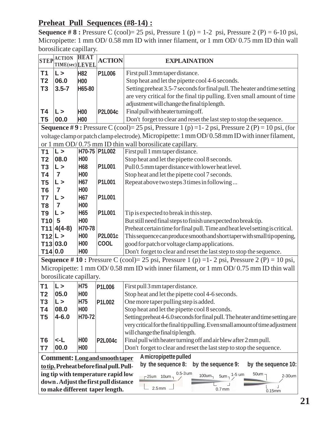#### **Preheat Pull Sequences (#8-14) :**

**Sequence # 8 :** Pressure C (cool)= 25 psi, Pressure 1 (p) = 1-2 psi, Pressure 2 (P) = 6-10 psi, Micropipette: 1 mm OD/ 0.58 mm ID with inner filament, or 1 mm OD/ 0.75 mm ID thin wall borosilicate capillary.

| <b>STEP</b>    | <b>ACTION</b><br>TIME(sec)LEVEL | <b>HEAT</b>              | <b>ACTION</b>                            | <b>EXPLAINATION</b>                                                                                      |  |  |
|----------------|---------------------------------|--------------------------|------------------------------------------|----------------------------------------------------------------------------------------------------------|--|--|
| T1             |                                 |                          |                                          | First pull 3 mm taper distance.                                                                          |  |  |
| T <sub>2</sub> | $\mathsf{L}$<br>06.0            | <b>H82</b><br><b>H00</b> | P1L006                                   | Stop heat and let the pipette cool 4-6 seconds.                                                          |  |  |
| T <sub>3</sub> | $3.5 - 7$                       | H65-80                   |                                          | Setting preheat 3.5-7 seconds for final pull. The heater and time setting                                |  |  |
|                |                                 |                          |                                          | are very critical for the final tip pulling. Even small amount of time                                   |  |  |
|                |                                 |                          |                                          |                                                                                                          |  |  |
|                |                                 |                          |                                          | adjustment will change the final tip length.                                                             |  |  |
| Τ4             | $\mathsf{L}$                    | <b>H00</b>               | <b>P2L004c</b>                           | Final pull with heater turning off.                                                                      |  |  |
| T <sub>5</sub> | 00.0                            | H <sub>00</sub>          |                                          | Don't forget to clear and reset the last step to stop the sequence.                                      |  |  |
|                |                                 |                          |                                          | <b>Sequence #9:</b> Pressure C (cool)= 25 psi, Pressure 1 (p) = 1 - 2 psi, Pressure 2 (P) = 10 psi, (for |  |  |
|                |                                 |                          |                                          | voltage clamp or patch clamp electrode). Micropipette: 1 mm OD/0.58 mm ID with inner filament,           |  |  |
|                |                                 |                          |                                          | or 1 mm OD/0.75 mm ID thin wall borosilicate capillary.                                                  |  |  |
| T <sub>1</sub> | $\mathsf{L}$                    |                          | H70-75 P1L002                            | First pull 1 mm taper distance.                                                                          |  |  |
| T <sub>2</sub> | 08.0                            | H <sub>00</sub>          |                                          | Stop heat and let the pipette cool 8 seconds.                                                            |  |  |
| T <sub>3</sub> | $\mathsf{L} >$                  | H68                      | P1L001                                   | Pull 0.5 mm taper distance with lower heat level.                                                        |  |  |
| T4             | $\overline{7}$                  | H <sub>00</sub>          |                                          | Stop heat and let the pipette cool 7 seconds.                                                            |  |  |
| T <sub>5</sub> | $\mathsf{L} >$                  | H <sub>67</sub>          | <b>P1L001</b>                            | Repeat above two steps 3 times in following                                                              |  |  |
| T <sub>6</sub> | $\overline{7}$                  | <b>H00</b>               |                                          |                                                                                                          |  |  |
| T7             | L>                              | <b>H67</b>               | P1L001                                   |                                                                                                          |  |  |
| T <sub>8</sub> | $\overline{7}$                  | <b>H00</b>               |                                          |                                                                                                          |  |  |
| T <sub>9</sub> | $\mathsf{L}$                    | H65                      | <b>P1L001</b>                            | Tip is expected to break in this step.                                                                   |  |  |
| T10            | -5                              | H <sub>00</sub>          |                                          | But still need final steps to finish unexpected no break tip.                                            |  |  |
|                | $T11 4(4-8)$                    | H70-78                   |                                          | Preheat certain time for final pull. Time and heat level setting is critical.                            |  |  |
| T12 L>         |                                 | H <sub>00</sub>          | <b>P2L001c</b>                           | This sequence can produce smooth and short taper with small tip opening,                                 |  |  |
|                | T13 03.0                        | H <sub>00</sub>          | <b>COOL</b>                              | good for patch or voltage clamp applications.                                                            |  |  |
| T14 0.0        |                                 | H <sub>00</sub>          |                                          | Don't forget to clear and reset the last step to stop the sequence.                                      |  |  |
|                |                                 |                          |                                          | <b>Sequence</b> # 10 : Pressure C (cool)= 25 psi, Pressure 1 (p) = 1 - 2 psi, Pressure 2 (P) = 10 psi,   |  |  |
|                |                                 |                          |                                          | Micropipette: 1 mm OD/0.58 mm ID with inner filament, or 1 mm OD/0.75 mm ID thin wall                    |  |  |
|                | borosilicate capillary.         |                          |                                          |                                                                                                          |  |  |
| T <sub>1</sub> | L>                              | H75                      | <b>P1L006</b>                            | First pull 3 mm taper distance.                                                                          |  |  |
| T2             | 05.0                            | H <sub>0</sub>           |                                          | Stop heat and let the pipette cool 4-6 seconds.                                                          |  |  |
| T3             | $\mathsf{L} >$                  | H75                      | <b>P1L002</b>                            | One more taper pulling step is added.                                                                    |  |  |
| <b>T4</b>      | 08.0                            | H <sub>00</sub>          |                                          | Stop heat and let the pipette cool 8 seconds.                                                            |  |  |
| T5             | $4 - 6.0$                       | H70-72                   |                                          | Setting preheat 4-6.0 seconds for final pull. The heater and time setting are                            |  |  |
|                |                                 |                          |                                          | very critical for the final tip pulling. Even small amount of time adjustment                            |  |  |
|                |                                 |                          |                                          | will change the final tip length.                                                                        |  |  |
| T <sub>6</sub> | <-L                             | H <sub>00</sub>          | <b>P2L004c</b>                           | Final pull with heater turning off and air blew after 2 mm pull.                                         |  |  |
| T7             | 00.0                            | <b>H00</b>               |                                          | Don't forget to clear and reset the last step to stop the sequence.                                      |  |  |
|                |                                 |                          | <b>Comment: Long and smooth taper</b>    | A micropipette pulled                                                                                    |  |  |
|                |                                 |                          | to tip. Preheat before final pull. Pull- | by the sequence 8:<br>by the sequence 9:<br>by the sequence 10:                                          |  |  |
|                |                                 |                          | ing tip with temperature rapid low       | $0.5-3$ um<br>$50$ um $-$<br>$5um - 1.5 um$<br>$100$ um $\neg$<br>2-30um                                 |  |  |
|                |                                 |                          | down. Adjust the first pull distance     | -25um 10um-                                                                                              |  |  |
|                |                                 |                          | to make different taper length.          | 2.5 <sub>mm</sub><br>0.7 <sub>mm</sub><br>0.15mm                                                         |  |  |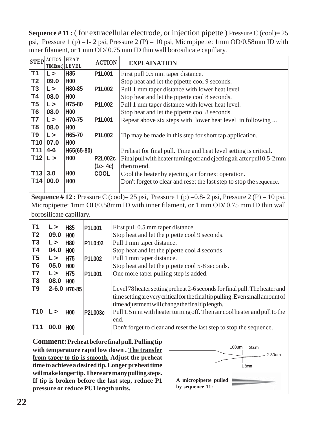**Sequence #11 :** ( for extracellular electrode, or injection pipette ) Pressure C (cool)= 25 psi, Pressure 1 (p) =1- 2 psi, Pressure 2 (P) = 10 psi, Micropipette: 1mm OD/0.58mm ID with inner filament, or 1 mm OD/ 0.75 mm ID thin wall borosilicate capillary.

| <b>STEP</b>     | <b>ACTION</b><br>TIME(sec) LEVEL | <b>HEAT</b>             | <b>ACTION</b>                                                       | <b>EXPLAINATION</b>                                                                                   |  |  |  |
|-----------------|----------------------------------|-------------------------|---------------------------------------------------------------------|-------------------------------------------------------------------------------------------------------|--|--|--|
| <b>T1</b>       | $\mathsf{L}$                     | H85                     | <b>P1L001</b>                                                       | First pull 0.5 mm taper distance.                                                                     |  |  |  |
| T <sub>2</sub>  | 09.0                             | H <sub>00</sub>         |                                                                     | Stop heat and let the pipette cool 9 seconds.                                                         |  |  |  |
| T <sub>3</sub>  | L >                              | H80-85                  | <b>P1L002</b>                                                       | Pull 1 mm taper distance with lower heat level.                                                       |  |  |  |
| <b>T4</b>       | 08.0                             | <b>H00</b>              |                                                                     | Stop heat and let the pipette cool 8 seconds.                                                         |  |  |  |
| T <sub>5</sub>  | $\mathsf{L}$                     | H75-80                  | <b>P1L002</b>                                                       | Pull 1 mm taper distance with lower heat level.                                                       |  |  |  |
| T <sub>6</sub>  | 08.0                             | <b>H00</b>              |                                                                     | Stop heat and let the pipette cool 8 seconds.                                                         |  |  |  |
| T7              | $\mathsf{L}$                     | H70-75                  | <b>P1L001</b>                                                       | Repeat above six steps with lower heat level in following                                             |  |  |  |
| T <sub>8</sub>  | 08.0                             | <b>H00</b>              |                                                                     |                                                                                                       |  |  |  |
| T <sub>9</sub>  | $\mathsf{L}$                     | H65-70                  | <b>P1L002</b>                                                       | Tip may be made in this step for short tap application.                                               |  |  |  |
| <b>T10</b>      | 07.0                             | <b>H00</b>              |                                                                     |                                                                                                       |  |  |  |
| <b>T11</b>      | $4 - 6$                          | H65(65-80)              |                                                                     | Preheat for final pull. Time and heat level setting is critical.                                      |  |  |  |
| <b>T12</b>      | $\mathsf{L}$                     | H <sub>0</sub> 0        | <b>P2L002c</b>                                                      | Final pull with heater turning off and ejecting air after pull 0.5-2 mm                               |  |  |  |
|                 |                                  |                         | $(1c - 4c)$                                                         | then to end.                                                                                          |  |  |  |
| T13             | 3.0                              | <b>H00</b>              | <b>COOL</b>                                                         | Cool the heater by ejecting air for next operation.                                                   |  |  |  |
| <b>T14</b>      | 00.0                             | H <sub>00</sub>         |                                                                     | Don't forget to clear and reset the last step to stop the sequence.                                   |  |  |  |
|                 |                                  |                         |                                                                     |                                                                                                       |  |  |  |
|                 |                                  |                         |                                                                     | <b>Sequence</b> #12: Pressure C (cool)= 25 psi, Pressure 1 (p) = 0.8- 2 psi, Pressure 2 (P) = 10 psi, |  |  |  |
|                 |                                  |                         |                                                                     | Micropipette: 1mm OD/0.58mm ID with inner filament, or 1 mm OD/0.75 mm ID thin wall                   |  |  |  |
|                 |                                  | borosilicate capillary. |                                                                     |                                                                                                       |  |  |  |
|                 |                                  |                         |                                                                     |                                                                                                       |  |  |  |
| <b>T1</b>       | $\mathsf{L}$                     | H85                     | P1L001                                                              | First pull 0.5 mm taper distance.                                                                     |  |  |  |
| T <sub>2</sub>  | 09.0                             | H <sub>00</sub>         |                                                                     | Stop heat and let the pipette cool 9 seconds.                                                         |  |  |  |
| T <sub>3</sub>  | $\mathsf{L}$                     | <b>H80</b>              | P1L0:02                                                             | Pull 1 mm taper distance.                                                                             |  |  |  |
| <b>T4</b>       | 04.0                             | <b>H00</b>              |                                                                     | Stop heat and let the pipette cool 4 seconds.                                                         |  |  |  |
| T <sub>5</sub>  | $\mathsf{L}$                     | H75                     | P1L002                                                              | Pull 1 mm taper distance.                                                                             |  |  |  |
| T <sub>6</sub>  | 05.0                             | <b>H00</b>              |                                                                     | Stop heat and let the pipette cool 5-8 seconds.                                                       |  |  |  |
| T7              | $\mathsf{L} >$                   | H75                     | P1L001                                                              | One more taper pulling step is added.                                                                 |  |  |  |
| T <sub>8</sub>  | 08.0                             | H <sub>00</sub>         |                                                                     |                                                                                                       |  |  |  |
| T <sub>9</sub>  |                                  | $2 - 6.0$ H70-85        |                                                                     | Level 78 heater setting preheat 2-6 seconds for final pull. The heater and                            |  |  |  |
|                 |                                  |                         |                                                                     | time setting are very critical for the final tip pulling. Even small amount of                        |  |  |  |
|                 |                                  |                         |                                                                     | time adjustment will change the final tip length.                                                     |  |  |  |
| T10             | $\mathsf{L}$                     | H <sub>00</sub>         | <b>P2L003c</b>                                                      | Pull 1.5 mm with heater turning off. Then air cool heater and pull to the                             |  |  |  |
|                 |                                  |                         |                                                                     | end.                                                                                                  |  |  |  |
| T <sub>11</sub> | 00.0                             | <b>H00</b>              | Don't forget to clear and reset the last step to stop the sequence. |                                                                                                       |  |  |  |
|                 |                                  |                         |                                                                     | <b>Comment: Preheat before final pull. Pulling tip</b>                                                |  |  |  |
|                 |                                  |                         |                                                                     | 100um<br>30um<br>with temperature rapid low down. The transfer                                        |  |  |  |
|                 |                                  |                         |                                                                     |                                                                                                       |  |  |  |
|                 |                                  |                         |                                                                     | 2-30um<br>from taper to tip is smooth. Adjust the preheat                                             |  |  |  |

**time to achieve a desired tip. Longer preheat time will make longer tip. There are many pulling steps. If tip is broken before the last step, reduce P1 pressure or reduce PU1 length units.**

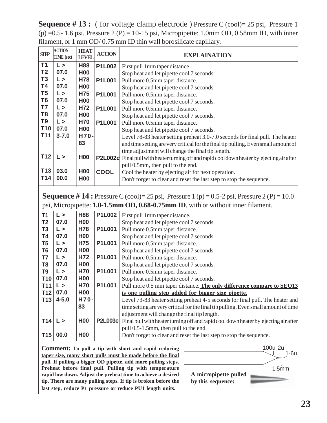**Sequence #13:** ( for voltage clamp electrode ) Pressure C (cool)= 25 psi, Pressure 1  $(p) = 0.5 - 1.6$  psi, Pressure 2 (P) = 10-15 psi, Micropipette: 1.0mm OD, 0.58mm ID, with inner filament, or 1 mm OD/ 0.75 mm ID thin wall borosilicate capillary.

| <b>SIEP</b>     | <b>ACTION</b><br>TIME (sec)                                                                                                                                                            | <b>HEAT</b><br><b>LEVEL</b> | <b>ACTION</b>  | <b>EXPLAINATION</b>                                                                                                                                                                                                                                                                 |  |  |  |
|-----------------|----------------------------------------------------------------------------------------------------------------------------------------------------------------------------------------|-----------------------------|----------------|-------------------------------------------------------------------------------------------------------------------------------------------------------------------------------------------------------------------------------------------------------------------------------------|--|--|--|
| T <sub>1</sub>  | $\mathsf{L}$                                                                                                                                                                           | <b>H88</b>                  | <b>P1L002</b>  | First pull 1mm taper distance.                                                                                                                                                                                                                                                      |  |  |  |
| T <sub>2</sub>  | 07.0                                                                                                                                                                                   | <b>H00</b>                  |                | Stop heat and let pipette cool 7 seconds.                                                                                                                                                                                                                                           |  |  |  |
| T <sub>3</sub>  | $\mathsf{L}$                                                                                                                                                                           | <b>H78</b>                  | <b>P1L001</b>  | Pull more 0.5mm taper distance.                                                                                                                                                                                                                                                     |  |  |  |
| <b>T4</b>       | 07.0                                                                                                                                                                                   | <b>H00</b>                  |                | Stop heat and let pipette cool 7 seconds.                                                                                                                                                                                                                                           |  |  |  |
| T <sub>5</sub>  | $\mathsf{L}$                                                                                                                                                                           | <b>H75</b>                  | <b>P1L001</b>  | Pull more 0.5mm taper distance.                                                                                                                                                                                                                                                     |  |  |  |
| T <sub>6</sub>  | 07.0                                                                                                                                                                                   | <b>H00</b>                  |                | Stop heat and let pipette cool 7 seconds.                                                                                                                                                                                                                                           |  |  |  |
| T7              | $\mathsf{L}$                                                                                                                                                                           | H72                         | <b>P1L001</b>  | Pull more 0.5mm taper distance.                                                                                                                                                                                                                                                     |  |  |  |
| T <sub>8</sub>  | 07.0                                                                                                                                                                                   | <b>H00</b>                  |                | Stop heat and let pipette cool 7 seconds.                                                                                                                                                                                                                                           |  |  |  |
| T <sub>9</sub>  | $\mathsf{L}$                                                                                                                                                                           | <b>H70</b>                  | <b>P1L001</b>  | Pull more 0.5mm taper distance.                                                                                                                                                                                                                                                     |  |  |  |
| T <sub>10</sub> | 07.0                                                                                                                                                                                   | <b>H00</b>                  |                | Stop heat and let pipette cool 7 seconds.                                                                                                                                                                                                                                           |  |  |  |
| T <sub>11</sub> | $3 - 7.0$                                                                                                                                                                              | H70-                        |                | Level 78-83 heater setting preheat 3.0-7.0 seconds for final pull. The heater                                                                                                                                                                                                       |  |  |  |
|                 |                                                                                                                                                                                        | 83                          |                | and time setting are very critical for the final tip pulling. Even small amount of                                                                                                                                                                                                  |  |  |  |
|                 |                                                                                                                                                                                        |                             |                | time adjustment will change the final tip length.                                                                                                                                                                                                                                   |  |  |  |
| T <sub>12</sub> | $\mathsf{L}$                                                                                                                                                                           | <b>H00</b>                  |                | P2L002c Final pull with heater turning off and rapid cool down heater by ejecting air after                                                                                                                                                                                         |  |  |  |
|                 |                                                                                                                                                                                        |                             |                | pull 0.5mm, then pull to the end.                                                                                                                                                                                                                                                   |  |  |  |
| T <sub>13</sub> | 03.0                                                                                                                                                                                   | <b>H00</b>                  | <b>COOL</b>    | Cool the heater by ejecting air for next operation.                                                                                                                                                                                                                                 |  |  |  |
| T14             | 00.0                                                                                                                                                                                   | <b>H00</b>                  |                | Don't forget to clear and reset the last step to stop the sequence.                                                                                                                                                                                                                 |  |  |  |
|                 |                                                                                                                                                                                        |                             |                |                                                                                                                                                                                                                                                                                     |  |  |  |
|                 | <b>Sequence</b> # 14: Pressure C (cool)= 25 psi, Pressure 1 (p) = 0.5-2 psi, Pressure 2 (P) = 10.0<br>psi, Micropipette: 1.0-1.5mm OD, 0.68-0.75mm ID, with or without inner filament. |                             |                |                                                                                                                                                                                                                                                                                     |  |  |  |
| <b>T1</b>       | $\mathsf{L}$                                                                                                                                                                           | <b>H88</b>                  | <b>P1L002</b>  | First pull 1mm taper distance.                                                                                                                                                                                                                                                      |  |  |  |
| T <sub>2</sub>  | 07.0                                                                                                                                                                                   | <b>H00</b>                  |                | Stop heat and let pipette cool 7 seconds.                                                                                                                                                                                                                                           |  |  |  |
| T <sub>3</sub>  | $\mathsf{L} >$                                                                                                                                                                         | <b>H78</b>                  | <b>P1L001</b>  | Pull more 0.5mm taper distance.                                                                                                                                                                                                                                                     |  |  |  |
| <b>T4</b>       | 07.0                                                                                                                                                                                   | <b>H00</b>                  |                | Stop heat and let pipette cool 7 seconds.                                                                                                                                                                                                                                           |  |  |  |
| T <sub>5</sub>  | $\mathsf{L} >$                                                                                                                                                                         | H75                         | <b>P1L001</b>  | Pull more 0.5mm taper distance.                                                                                                                                                                                                                                                     |  |  |  |
| T <sub>6</sub>  | 07.0                                                                                                                                                                                   | <b>H00</b>                  |                | Stop heat and let pipette cool 7 seconds.                                                                                                                                                                                                                                           |  |  |  |
| T7              | $\mathsf{L} >$                                                                                                                                                                         | H72                         | <b>P1L001</b>  | Pull more 0.5mm taper distance.                                                                                                                                                                                                                                                     |  |  |  |
| T <sub>8</sub>  | 07.0                                                                                                                                                                                   | <b>H00</b>                  |                | Stop heat and let pipette cool 7 seconds.                                                                                                                                                                                                                                           |  |  |  |
| T <sub>9</sub>  | $\mathsf{L} >$                                                                                                                                                                         | <b>H70</b>                  | <b>P1L001</b>  | Pull more 0.5mm taper distance.                                                                                                                                                                                                                                                     |  |  |  |
| <b>T10</b>      | 07.0                                                                                                                                                                                   | <b>H00</b>                  |                | Stop heat and let pipette cool 7 seconds.                                                                                                                                                                                                                                           |  |  |  |
| T11             | $\mathsf{L}$                                                                                                                                                                           | H70                         | <b>P1L001</b>  | Pull more 0.5 mm taper distance. The only difference compare to SEQ13                                                                                                                                                                                                               |  |  |  |
| T12             | 07.0                                                                                                                                                                                   | <b>H00</b>                  |                | is one pulling step added for bigger size pipette.                                                                                                                                                                                                                                  |  |  |  |
| T <sub>13</sub> | $4 - 5.0$                                                                                                                                                                              | H70-                        |                | Level 73-83 heater setting preheat 4-5 seconds for final pull. The heater and                                                                                                                                                                                                       |  |  |  |
|                 |                                                                                                                                                                                        | 83                          |                | time setting are very critical for the final tip pulling. Even small amount of time                                                                                                                                                                                                 |  |  |  |
|                 |                                                                                                                                                                                        |                             |                | adjustment will change the final tip length.                                                                                                                                                                                                                                        |  |  |  |
| <b>T14</b>      | L>                                                                                                                                                                                     | H <sub>00</sub>             | <b>P2L003c</b> | Final pull with heater turning off and rapid cool down heater by ejecting air after                                                                                                                                                                                                 |  |  |  |
|                 |                                                                                                                                                                                        |                             |                | pull 0.5-1.5mm, then pull to the end.                                                                                                                                                                                                                                               |  |  |  |
| T15             | 00.0                                                                                                                                                                                   | <b>H00</b>                  |                | Don't forget to clear and reset the last step to stop the sequence.                                                                                                                                                                                                                 |  |  |  |
|                 |                                                                                                                                                                                        |                             |                | 100u 2u<br><b>Comment:</b> To pull a tip with short and rapid reducing<br>$1-6u$<br>taper size, many short pulls must be made before the final<br>pull. If pulling a bigger OD pipette, add more pulling steps.<br>Preheat before final pull. Pulling tip with temperature<br>1.5mm |  |  |  |
|                 |                                                                                                                                                                                        |                             |                | rapid low down. Adjust the preheat time to achieve a desired<br>A micropipette pulled                                                                                                                                                                                               |  |  |  |
|                 |                                                                                                                                                                                        |                             |                | tip. There are many pulling steps. If tip is broken before the<br>by this sequence:                                                                                                                                                                                                 |  |  |  |
|                 | last step, reduce P1 pressure or reduce PU1 length units.                                                                                                                              |                             |                |                                                                                                                                                                                                                                                                                     |  |  |  |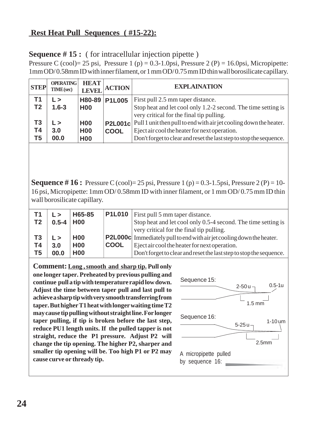#### **Rest Heat Pull Sequences ( #15-22):**

**Sequence # 15 :** ( for intracellular injection pipette )

Pressure C (cool)= 25 psi, Pressure 1 (p) = 0.3-1.0psi, Pressure 2 (P) = 16.0psi, Micropipette: 1mm OD/ 0.58mm ID with inner filament, or 1 mm OD/ 0.75 mm ID thin wall borosilicate capillary.

| <b>STEP</b>          | <b>OPERATING</b><br>TIME(sec) | <b>HEAT</b><br><b>LEVEL</b>            | <b>ACTION</b>                 | <b>EXPLAINATION</b>                                                                                                                                                                                                                    |
|----------------------|-------------------------------|----------------------------------------|-------------------------------|----------------------------------------------------------------------------------------------------------------------------------------------------------------------------------------------------------------------------------------|
| Τ1<br>T <sub>2</sub> | L><br>$1.6 - 3$               | <b>H00</b>                             | H80-89 P1L005                 | First pull 2.5 mm taper distance.<br>Stop heat and let cool only 1.2-2 second. The time setting is                                                                                                                                     |
| T3<br>T4<br>T5       | L ><br>3.0<br>00.0            | <b>H00</b><br><b>H00</b><br><b>H00</b> | <b>P2L001c</b><br><b>COOL</b> | very critical for the final tip pulling.<br>Pull 1 unit then pull to end with air jet cooling down the heater.<br>Eject air cool the heater for next operation.<br>Don't forget to clear and reset the last step to stop the sequence. |

**Sequence # 16 :** Pressure C (cool)= 25 psi, Pressure 1 (p) = 0.3-1.5psi, Pressure 2 (P) = 10-16 psi, Micropipette: 1mm OD/ 0.58mm ID with inner filament, or 1 mm OD/ 0.75 mm ID thin wall borosilicate capillary.

| T1<br>T <sub>2</sub> | L><br>$0.5 - 4$ H00 | H65-85     |             | <b>P1L010</b>   First pull 5 mm taper distance.<br>Stop heat and let cool only 0.5-4 second. The time setting is<br>very critical for the final tip pulling. |
|----------------------|---------------------|------------|-------------|--------------------------------------------------------------------------------------------------------------------------------------------------------------|
| T3                   | $\mathsf{L}$        | <b>H00</b> |             | <b>P2L000c</b> Immediately pull to end with air jet cooling down the heater.                                                                                 |
| <b>T4</b>            | 3.0                 | <b>H00</b> | <b>COOL</b> | Eject air cool the heater for next operation.                                                                                                                |
| T <sub>5</sub>       | 00.0                | <b>H00</b> |             | Don't forget to clear and reset the last step to stop the sequence.                                                                                          |

**Comment: Long , smooth and sharp tip. Pull only one longer taper. Preheated by previous pulling and continue pull a tip with temperature rapid low down. Adjust the time between taper pull and last pull to achieve a sharp tip with very smooth transferring from taper. But higher T1 heat with longer waiting time T2 may cause tip pulling without straight line. For longer taper pulling, if tip is broken before the last step, reduce PU1 length units. If the pulled tapper is not straight, reduce the P1 pressure. Adjust P2 will change the tip opening. The higher P2, sharper and smaller tip opening will be. Too high P1 or P2 may cause curve or thready tip.**

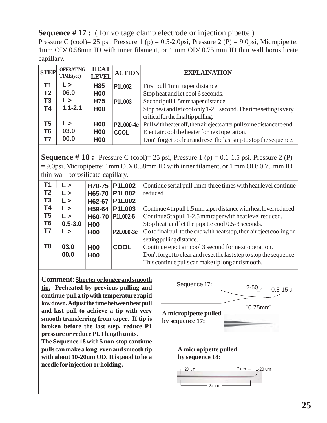**Sequence # 17 :** ( for voltage clamp electrode or injection pipette )

Pressure C (cool)= 25 psi, Pressure 1 (p) =  $0.5$ -2.0psi, Pressure 2 (P) =  $9.0$ psi, Micropipette: 1mm OD/ 0.58mm ID with inner filament, or 1 mm OD/ 0.75 mm ID thin wall borosilicate capillary.

| <b>STEP</b>                            | <b>OPERATING</b><br><b>TIME</b> (sec) | <b>HEAT</b><br><b>LEVEL</b>                          | <b>ACTION</b>                   | <b>EXPLAINATION</b>                                                                                                                                                                                                                                                                                        |
|----------------------------------------|---------------------------------------|------------------------------------------------------|---------------------------------|------------------------------------------------------------------------------------------------------------------------------------------------------------------------------------------------------------------------------------------------------------------------------------------------------------|
| Τ1<br>T <sub>2</sub><br>T <sub>3</sub> | L><br>06.0<br>L>                      | H <sub>85</sub><br><b>H00</b><br><b>H75</b>          | <b>P1L002</b><br><b>P1L003</b>  | First pull 1mm taper distance.<br>Stop heat and let cool 6 seconds.<br>Second pull 1.5mm taper distance.                                                                                                                                                                                                   |
| T4<br>T5<br>T6<br>Τ7                   | $1.1 - 2.1$<br>L><br>03.0<br>00.0     | <b>H00</b><br><b>H00</b><br><b>H00</b><br><b>H00</b> | <b>P2L000-4c</b><br><b>COOL</b> | Stopheat and let cool only 1-2.5 second. The time setting is very<br>critical for the final tip pulling.<br>Pull with heater off, then air ejects after pull some distance to end.<br>Eject air cool the heater for next operation.<br>Don't forget to clear and reset the last step to stop the sequence. |

**Sequence # 18 :** Pressure C (cool)= 25 psi, Pressure 1 (p) =  $0.1-1.5$  psi, Pressure 2 (P)  $= 9.0$ psi, Micropipette: 1 mm OD/ 0.58mm ID with inner filament, or 1 mm OD/ 0.75 mm ID thin wall borosilicate capillary.

| T <sub>1</sub> | L >          | H70-75        | <b>P1L002</b> | Continue serial pull 1mm three times with heat level continue         |
|----------------|--------------|---------------|---------------|-----------------------------------------------------------------------|
|                |              |               |               |                                                                       |
| T <sub>2</sub> | $\mathsf{L}$ | H65-70        | <b>P1L002</b> | reduced.                                                              |
| T <sub>3</sub> | $\mathsf{L}$ | H62-67        | <b>P1L002</b> |                                                                       |
| <b>T4</b>      | L >          | H59-64        | <b>P1L003</b> | Continue 4 th pull 1.5 mm taper distance with heat level reduced.     |
| T <sub>5</sub> | $\mathsf{L}$ | <b>H60-70</b> | P1L002-5      | Continue 5th pull 1-2.5 mm taper with heat level reduced.             |
| T <sub>6</sub> | $0.5 - 3.0$  | <b>H00</b>    |               | Stop heat and let the pipette cool 0.5-3 seconds.                     |
| T7             | $\mathsf{L}$ | <b>H00</b>    | P2L000-3c     | Go to final pull to the end with heat stop, then air eject cooling on |
|                |              |               |               | setting pulling distance.                                             |
| T <sub>8</sub> | 03.0         | <b>H00</b>    | <b>COOL</b>   | Continue eject air cool 3 second for next operation.                  |
|                | 00.0         | <b>H00</b>    |               | Don't forget to clear and reset the last step to stop the sequence.   |
|                |              |               |               | This continue pulls can make tip long and smooth.                     |

**Comment:Shorter or longer and smooth tip. Preheated by previous pulling and continue pull a tip with temperature rapid low down. Adjust the time between heat pull and last pull to achieve a tip with very smooth transferring from taper. If tip is broken before the last step, reduce P1 pressure or reduce PU1 length units.**

**The Sequence 18 with 5 non-stop continue pulls can make a long, even and smooth tip with about 10-20um OD. It is good to be a needle for injection or holding .**

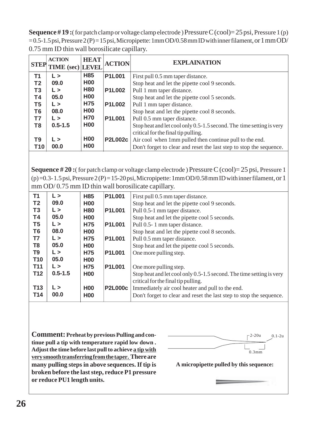**Sequence # 19 :**( for patch clamp or voltage clamp electrode ) Pressure C (cool)= 25 psi, Pressure 1 (p) = 0.5-1.5 psi, Pressure 2 (P) = 15 psi, Micropipette: 1mm OD/0.58 mm ID with inner filament, or 1 mm OD/ 0.75 mm ID thin wall borosilicate capillary.

| <b>STEP</b>    | <b>ACTION</b><br><b>TIME</b> (sec) LEVEL | <b>HEAT</b>     | <b>ACTION</b>  | <b>EXPLAINATION</b>                                                  |
|----------------|------------------------------------------|-----------------|----------------|----------------------------------------------------------------------|
| T <sub>1</sub> | L >                                      | H <sub>85</sub> | <b>P1L001</b>  | First pull 0.5 mm taper distance.                                    |
| T <sub>2</sub> | 09.0                                     | <b>H00</b>      |                | Stop heat and let the pipette cool 9 seconds.                        |
| T3             | L >                                      | <b>H80</b>      | <b>P1L002</b>  | Pull 1 mm taper distance.                                            |
| <b>T4</b>      | 05.0                                     | <b>H00</b>      |                | Stop heat and let the pipette cool 5 seconds.                        |
| T <sub>5</sub> | L >                                      | <b>H75</b>      | <b>P1L002</b>  | Pull 1 mm taper distance.                                            |
| T <sub>6</sub> | 08.0                                     | <b>H00</b>      |                | Stop heat and let the pipette cool 8 seconds.                        |
| T7             | L >                                      | <b>H70</b>      | <b>P1L001</b>  | Pull 0.5 mm taper distance.                                          |
| T <sub>8</sub> | $0.5 - 1.5$                              | <b>H00</b>      |                | Stop heat and let cool only 0.5-1.5 second. The time setting is very |
|                |                                          |                 |                | critical for the final tip pulling.                                  |
| T9             | L >                                      | <b>H00</b>      | <b>P2L002c</b> | Air cool when 1mm pulled then continue pull to the end.              |
| T10            | 00.0                                     | <b>H00</b>      |                | Don't forget to clear and reset the last step to stop the sequence.  |

**Sequence # 20 :**( for patch clamp or voltage clamp electrode ) Pressure C (cool)= 25 psi, Pressure 1  $(p)=0.3-1.5$  psi, Pressure 2 (P) = 15-20 psi, Micropipette: 1 mm OD/0.58 mm ID with inner filament, or 1 mm OD/ 0.75 mm ID thin wall borosilicate capillary.

| T1             | $\mathsf{L}$   | H85        | <b>P1L001</b>  | First pull 0.5 mm taper distance.                                    |
|----------------|----------------|------------|----------------|----------------------------------------------------------------------|
| T <sub>2</sub> | 09.0           | <b>H00</b> |                | Stop heat and let the pipette cool 9 seconds.                        |
| T <sub>3</sub> | $\mathsf{L} >$ | <b>H80</b> | <b>P1L001</b>  | Pull 0.5-1 mm taper distance.                                        |
| <b>T4</b>      | 05.0           | <b>H00</b> |                | Stop heat and let the pipette cool 5 seconds.                        |
| T <sub>5</sub> | $\mathsf{L}$   | <b>H75</b> | <b>P1L001</b>  | Pull 0.5-1 mm taper distance.                                        |
| T <sub>6</sub> | 08.0           | <b>H00</b> |                | Stop heat and let the pipette cool 8 seconds.                        |
| T7             | $\mathsf{L} >$ | <b>H75</b> | <b>P1L001</b>  | Pull 0.5 mm taper distance.                                          |
| T <sub>8</sub> | 05.0           | <b>H00</b> |                | Stop heat and let the pipette cool 5 seconds.                        |
| T <sub>9</sub> | $\mathsf{L}$   | <b>H75</b> | <b>P1L001</b>  | One more pulling step.                                               |
| <b>T10</b>     | 05.0           | <b>H00</b> |                |                                                                      |
| <b>T11</b>     | $\mathsf{L}$   | <b>H75</b> | <b>P1L001</b>  | One more pulling step.                                               |
| <b>T12</b>     | $0.5 - 1.5$    | <b>H00</b> |                | Stop heat and let cool only 0.5-1.5 second. The time setting is very |
|                |                |            |                | critical for the final tip pulling.                                  |
| <b>T13</b>     | L >            | <b>H00</b> | <b>P2L000c</b> | Immediately air cool heater and pull to the end.                     |
| <b>T14</b>     | 00.0           | <b>H00</b> |                | Don't forget to clear and reset the last step to stop the sequence.  |

**Comment: Preheat by previous Pulling and continue pull a tip with temperature rapid low down . Adjust the time before last pull to achieve a tip with very smooth transferring from the taper. There are many pulling steps in above sequences. If tip is broken before the last step, reduce P1 pressure or reduce PU1 length units.**



**A micropipette pulled by this sequence:**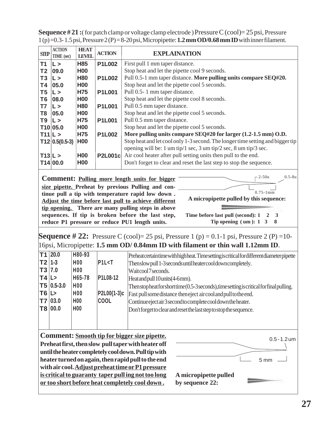| <b>SIEP</b>    | <b>ACTION</b><br>TIME (sec) | <b>HEAT</b><br><b>LEVEL</b> | <b>ACTION</b>  | <b>EXPLAINATION</b>                                                            |
|----------------|-----------------------------|-----------------------------|----------------|--------------------------------------------------------------------------------|
| T1             | L>                          | H85                         | <b>P1L002</b>  | First pull 1 mm taper distance.                                                |
| T <sub>2</sub> | 09.0                        | <b>H00</b>                  |                | Stop heat and let the pipette cool 9 seconds.                                  |
| T <sub>3</sub> | L >                         | <b>H80</b>                  | <b>P1L002</b>  | Pull 0.5-1 mm taper distance. More pulling units compare SEQ#20.               |
| T4             | 05.0                        | <b>H00</b>                  |                | Stop heat and let the pipette cool 5 seconds.                                  |
| T5             | L >                         | H75                         | <b>P1L001</b>  | Pull 0.5-1 mm taper distance.                                                  |
| T <sub>6</sub> | 08.0                        | <b>H00</b>                  |                | Stop heat and let the pipette cool 8 seconds.                                  |
| T7             | IL >                        | <b>H80</b>                  | <b>P1L001</b>  | Pull 0.5 mm taper distance.                                                    |
| T8             | 05.0                        | <b>H00</b>                  |                | Stop heat and let the pipette cool 5 seconds.                                  |
| T9             | $\mathsf{L}$                | <b>H75</b>                  | <b>P1L001</b>  | Pull 0.5 mm taper distance.                                                    |
|                | T10 05.0                    | <b>H00</b>                  |                | Stop heat and let the pipette cool 5 seconds.                                  |
| T11 L>         |                             | H75                         | <b>P1L002</b>  | More pulling units compare SEQ#20 for larger (1.2-1.5 mm) O.D.                 |
|                | $T12 0.5(0.5-3)$            | <b>H00</b>                  |                | Stop heat and let cool only 1-3 second. The longer time setting and bigger tip |
|                |                             |                             |                | opening will be: 1 um tip/1 sec, 3 um tip/2 sec, 8 um tip/3 sec.               |
| T13 L>         |                             | <b>H00</b>                  | <b>P2L001c</b> | Air cool heater after pull setting units then pull to the end.                 |
|                | T14 00.0                    | <b>H00</b>                  |                | Don't forget to clear and reset the last step to stop the sequence.            |
|                |                             |                             |                |                                                                                |

**Sequence # 21 :**( for patch clamp or voltage clamp electrode ) Pressure C (cool)= 25 psi, Pressure 1 (p) =0.3- 1.5 psi, Pressure 2 (P) = 8-20 psi, Micropipette: **1.2 mm OD/0.68 mm ID** with inner filament.

**Comment: Pulling more length units for bigger size pipette. Preheat by previous Pulling and continue pull a tip with temperature rapid low down . Adjust the time before last pull to achieve different tip opening. There are many pulling steps in above sequences. If tip is broken before the last step, reduce P1 pressure or reduce PU1 length units.**



**Time before last pull (second): 1 2 3 Tip opening ( um ): 1 3 8**

**Sequence # 22:** Pressure C (cool)= 25 psi, Pressure 1 (p) = 0.1-1 psi, Pressure 2 (P) = 10-16psi, Micropipette: **1.5 mm OD/ 0.84mm ID with filament or thin wall 1.12mm ID**.

|           | $T1$ 20.0  | H80-93           |                                    | Preheatcertaintime with high heat. Time setting is critical for different diameter pipette |
|-----------|------------|------------------|------------------------------------|--------------------------------------------------------------------------------------------|
| $T2$ 1-3  |            | H <sub>0</sub> 0 | P1L <sub>5</sub>                   | Then slow pull 1-3 seconds until heater cool down completely.                              |
| T3 7.0    |            | <b>H00</b>       |                                    | Waitcool7 seconds.                                                                         |
| $ T4 $ L> |            | H65-78           | P <sub>1</sub> L <sub>08</sub> -12 | Heatandpull 10units (4-6mm).                                                               |
|           | T5 0.5-3.0 | <b>H00</b>       |                                    | Then stop heat for short time (0.5-3 seconds), time setting is critical for final pulling. |
| $T6$ L>   |            | <b>H00</b>       | P2L00(1-3)c                        | Fast pull some distance then eject aircool and pull to the end.                            |
|           | T7 03.0    | <b>H00</b>       | <b>COOL</b>                        | Continue eject air 3 second to complete cool down the heater.                              |
|           | T8 00.0    | <b>H00</b>       |                                    | Don't forget to clear and reset the last step to stop the sequence.                        |
|           |            |                  |                                    |                                                                                            |
|           |            |                  |                                    |                                                                                            |

**Comment: Smooth tip for bigger size pipette. Preheat first, then slow pull taper with heater off until the heater completely cool down. Pull tip with heater turned on again, then rapid pull to the end with air cool. Adjust preheat time or P1 pressure is critical to guaranty taper pull ing not too long or too short before heat completely cool down .**

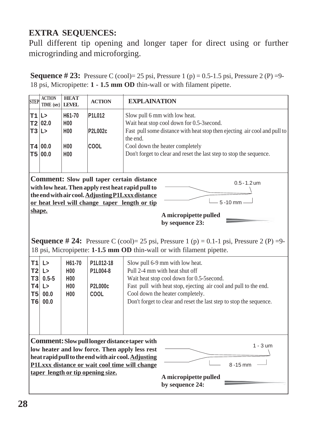## **EXTRA SEQUENCES:**

Pull different tip opening and longer taper for direct using or further microgrinding and microforging.

**Sequence # 23:** Pressure C (cool)= 25 psi, Pressure 1 (p) = 0.5-1.5 psi, Pressure 2 (P) = 9-18 psi, Micropipette: **1 - 1.5 mm OD** thin-wall or with filament pipette.

| <b>STEP</b>                                                     | <b>ACTION</b><br><b>TIME</b> (sec)                                                                                                                                                                                                                                                                                       | <b>HEAT</b><br><b>LEVEL</b>                                                        | <b>ACTION</b>                                   | <b>EXPLAINATION</b>                                                                                                                                                                                                                                                                            |  |
|-----------------------------------------------------------------|--------------------------------------------------------------------------------------------------------------------------------------------------------------------------------------------------------------------------------------------------------------------------------------------------------------------------|------------------------------------------------------------------------------------|-------------------------------------------------|------------------------------------------------------------------------------------------------------------------------------------------------------------------------------------------------------------------------------------------------------------------------------------------------|--|
| T1  L><br>$T3$ L>                                               | T2 02.0<br>T4 00.0<br>T5 00.0                                                                                                                                                                                                                                                                                            | H61-70<br>H <sub>00</sub><br>H <sub>00</sub><br><b>H00</b><br>H <sub>0</sub>       | P1L012<br><b>P2L002c</b><br><b>COOL</b>         | Slow pull 6 mm with low heat.<br>Wait heat stop cool down for 0.5-3 second.<br>Fast pull some distance with heat stop then ejecting air cool and pull to<br>the end.<br>Cool down the heater completely<br>Don't forget to clear and reset the last step to stop the sequence.                 |  |
|                                                                 | <b>Comment:</b> Slow pull taper certain distance<br>$0.5 - 1.2$ um<br>with low heat. Then apply rest heat rapid pull to<br>the end with air cool. Adjusting P1Lxxx distance<br>$5 - 10$ mm<br>or heat level will change taper length or tip<br>shape.<br>A micropipette pulled<br>by sequence 23:                        |                                                                                    |                                                 |                                                                                                                                                                                                                                                                                                |  |
|                                                                 |                                                                                                                                                                                                                                                                                                                          |                                                                                    |                                                 | <b>Sequence</b> # 24: Pressure C (cool)= 25 psi, Pressure 1 (p) = 0.1-1 psi, Pressure 2 (P) = 9-<br>18 psi, Micropipette: 1-1.5 mm OD thin-wall or with filament pipette.                                                                                                                      |  |
| T1<br>T <sub>2</sub><br>T3<br><b>T4</b><br>T5<br>T <sub>6</sub> | $\mathsf{L}$<br>$\mathsf{L}$<br>$0.5 - 5$<br>$\mathsf{L}$<br>00.0<br>00.0                                                                                                                                                                                                                                                | H61-70<br>H <sub>00</sub><br>H <sub>00</sub><br>H <sub>00</sub><br>H <sub>00</sub> | P1L012-18<br>P1L004-8<br><b>P2L000c</b><br>COOL | Slow pull 6-9 mm with low heat.<br>Pull 2-4 mm with heat shut off<br>Wait heat stop cool down for 0.5-5 second.<br>Fast pull with heat stop, ejecting air cool and pull to the end.<br>Cool down the heater completely.<br>Don't forget to clear and reset the last step to stop the sequence. |  |
|                                                                 | <b>Comment:</b> Slow pull longer distance taper with<br>$1 - 3$ um<br>low heater and low force. Then apply less rest<br>heat rapid pull to the end with air cool. Adjusting<br>P1Lxxx distance or wait cool time will change<br>8-15 mm<br>taper length or tip opening size.<br>A micropipette pulled<br>by sequence 24: |                                                                                    |                                                 |                                                                                                                                                                                                                                                                                                |  |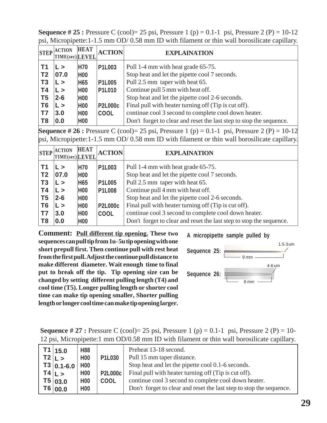**Sequence # 25 :** Pressure C (cool)= 25 psi, Pressure 1 (p) = 0.1-1 psi, Pressure 2 (P) = 10-12 psi, Micropipette:1-1.5 mm OD/ 0.58 mm ID with filament or thin wall borosilicate capillary.

| <b>STEP</b>    | <b>ACTION</b><br>TIME(sec) LEVEL | <b>HEAT</b>     | <b>ACTION</b>  | <b>EXPLAINATION</b>                                                 |
|----------------|----------------------------------|-----------------|----------------|---------------------------------------------------------------------|
| T1             | L >                              | <b>H70</b>      | <b>P1L003</b>  | Pull 1-4 mm with heat grade 65-75.                                  |
| T <sub>2</sub> | 07.0                             | H <sub>00</sub> |                | Stop heat and let the pipette cool 7 seconds.                       |
| T <sub>3</sub> | $\mathsf{L} >$                   | H65             | <b>P1L005</b>  | Pull 2.5 mm taper with heat 65.                                     |
| <b>T4</b>      | L >                              | H <sub>00</sub> | <b>P1L010</b>  | Continue pull 5 mm with heat off.                                   |
| T <sub>5</sub> | $2 - 6$                          | <b>H00</b>      |                | Stop heat and let the pipette cool 2-6 seconds.                     |
| T <sub>6</sub> | L >                              | <b>H00</b>      | <b>P2L000c</b> | Final pull with heater turning off (Tip is cut off).                |
| <b>T7</b>      | 3.0                              | <b>H00</b>      | <b>COOL</b>    | continue cool 3 second to complete cool down heater.                |
| T8             | 0.0                              | H <sub>00</sub> |                | Don't forget to clear and reset the last step to stop the sequence. |

**Sequence # 26 :** Pressure C (cool)= 25 psi, Pressure 1 (p) = 0.1-1 psi, Pressure 2 (P) = 10-12 psi, Micropipette:1-1.5 mm OD/ 0.58 mm ID with filament or thin wall borosilicate capillary.

| <b>STEP</b>    | <b>ACTION</b><br>TIME(sec) LEVEL | <b>HEAT</b>     | <b>ACTION</b>  | <b>EXPLAINATION</b>                                                 |
|----------------|----------------------------------|-----------------|----------------|---------------------------------------------------------------------|
| T1             | L >                              | <b>H70</b>      | P1L003         | Pull 1-4 mm with heat grade 65-75.                                  |
| T <sub>2</sub> | 07.0                             | <b>H00</b>      |                | Stop heat and let the pipette cool 7 seconds.                       |
| T <sub>3</sub> | $\mathsf{L}$                     | H65             | <b>P1L005</b>  | Pull 2.5 mm taper with heat 65.                                     |
| <b>T4</b>      | $\mathsf{L} >$                   | H <sub>00</sub> | <b>P1L008</b>  | Continue pull 4 mm with heat off.                                   |
| T <sub>5</sub> | $2 - 6$                          | H <sub>00</sub> |                | Stop heat and let the pipette cool 2-6 seconds.                     |
| T <sub>6</sub> | $\mathsf{L} >$                   | <b>H00</b>      | <b>P2L000c</b> | Final pull with heater turning off (Tip is cut off).                |
| <b>T7</b>      | 3.0                              | <b>H00</b>      | <b>COOL</b>    | continue cool 3 second to complete cool down heater.                |
| T <sub>8</sub> | 0.0                              | H <sub>00</sub> |                | Don't forget to clear and reset the last step to stop the sequence. |

**Comment: Pull different tip opening. These two sequences can pull tip from 1u- 5u tip opening with one short prepull first. Then continue pull with rest heat from the first pull. Adjust the continue pull distance to make different diameter. Wait enough time to final put to break off the tip. Tip opening size can be changed by setting different pulling length (T4) and cool time (T5). Longer pulling length or shorter cool time can make tip opening smaller, Shorter pulling length or longer cool time can make tip opening larger.**





**Sequence # 27 :** Pressure C (cool)= 25 psi, Pressure 1 (p) = 0.1-1 psi, Pressure 2 (P) = 10-12 psi, Micropipette:1 mm OD/0.58 mm ID with filament or thin wall borosilicate capillary.

| $T1 \mid 15.0$         | <b>H88</b>      |                | Preheat 13-18 second.                                               |
|------------------------|-----------------|----------------|---------------------------------------------------------------------|
| T2 L>                  | <b>H00</b>      | <b>P1L030</b>  | Pull 15 mm taper distance.                                          |
| $T3   0.1 - 6.0   H00$ |                 |                | Stop heat and let the pipette cool 0.1-6 seconds.                   |
| T4 L>                  | <b>H00</b>      | <b>P2L000c</b> | Final pull with heater turning off (Tip is cut off).                |
| T5 03.0                | <b>H00</b>      | <b>COOL</b>    | continue cool 3 second to complete cool down heater.                |
| T6 00.0                | H <sub>00</sub> |                | Don't forget to clear and reset the last step to stop the sequence. |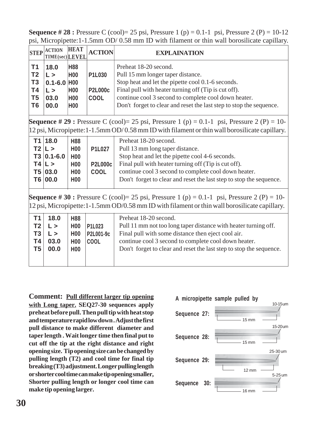**Sequence # 28 :** Pressure C (cool)= 25 psi, Pressure 1 (p) = 0.1-1 psi, Pressure 2 (P) = 10-12 psi, Micropipette:1-1.5mm OD/ 0.58 mm ID with filament or thin wall borosilicate capillary.

| <b>STEP</b>                                                                                                                                                                                          | <b>ACTION</b><br>TIME(sec)LEVEL                                     | <b>HEAT</b>                                                                                | <b>ACTION</b>                                  | <b>EXPLAINATION</b>                                                                                                                                                                                                                                                                                    |
|------------------------------------------------------------------------------------------------------------------------------------------------------------------------------------------------------|---------------------------------------------------------------------|--------------------------------------------------------------------------------------------|------------------------------------------------|--------------------------------------------------------------------------------------------------------------------------------------------------------------------------------------------------------------------------------------------------------------------------------------------------------|
| T1<br>T <sub>2</sub><br>T <sub>3</sub><br><b>T4</b><br>T <sub>5</sub><br>T <sub>6</sub>                                                                                                              | 18.0<br>$\mathsf{L}$<br>$0.1 - 6.0$<br>$\mathsf{L}$<br>03.0<br>00.0 | <b>H88</b><br><b>H00</b><br>H <sub>00</sub><br><b>H00</b><br><b>H00</b><br><b>H00</b>      | P1L030<br><b>P2L000c</b><br><b>COOL</b>        | Preheat 18-20 second.<br>Pull 15 mm longer taper distance.<br>Stop heat and let the pipette cool 0.1-6 seconds.<br>Final pull with heater turning off (Tip is cut off).<br>continue cool 3 second to complete cool down heater.<br>Don't forget to clear and reset the last step to stop the sequence. |
|                                                                                                                                                                                                      |                                                                     |                                                                                            |                                                | <b>Sequence # 29 :</b> Pressure C (cool)= 25 psi, Pressure 1 (p) = 0.1-1 psi, Pressure 2 (P) = 10-<br>$ 12 \text{ psi},$ Micropipette: $1 - 1.5$ mm OD/0.58 mm ID with filament or thin wall borosilicate capillary.                                                                                   |
|                                                                                                                                                                                                      | T1 18.0<br>T2 L><br>$T3 0.1-6.0$<br>T4 L><br>T5 03.0<br>T6 00.0     | <b>H88</b><br><b>H00</b><br>H <sub>00</sub><br>H <sub>00</sub><br><b>H00</b><br><b>H00</b> | <b>P1L027</b><br><b>P2L000c</b><br><b>COOL</b> | Preheat 18-20 second.<br>Pull 13 mm long taper distance.<br>Stop heat and let the pipette cool 4-6 seconds.<br>Final pull with heater turning off (Tip is cut off).<br>continue cool 3 second to complete cool down heater.<br>Don't forget to clear and reset the last step to stop the sequence.     |
| <b>Sequence</b> # 30 : Pressure C (cool)= 25 psi, Pressure 1 (p) = 0.1-1 psi, Pressure 2 (P) = 10-<br>12 psi, Micropipette: 1-1.5mm OD/0.58 mm ID with filament or thin wall borosilicate capillary. |                                                                     |                                                                                            |                                                |                                                                                                                                                                                                                                                                                                        |
| <b>T1</b><br>T <sub>2</sub><br><b>T3</b><br>Τ4<br>T <sub>5</sub>                                                                                                                                     | 18.0<br>$\mathsf{L}$<br>$\mathsf{L}$<br>03.0<br>00.0                | <b>H88</b><br>H <sub>00</sub><br>H <sub>00</sub><br>H <sub>0</sub> 0<br><b>H00</b>         | P1L023<br>P2L001-9c<br><b>COOL</b>             | Preheat 18-20 second.<br>Pull 11 mm not too long taper distance with heater turning off.<br>Final pull with some distance then eject cool air.<br>continue cool 3 second to complete cool down heater.<br>Don't forget to clear and reset the last step to stop the sequence.                          |

**Comment: Pull different larger tip opening with Long taper. SEQ27-30 sequences apply preheat before pull. Then pull tip with heat stop and temperature rapid low down . Adjust the first pull distance to make different diameter and taper length . Wait longer time then final put to cut off the tip at the right distance and right opening size. Tip opening size can be changed by pulling length (T2) and cool time for final tip breaking (T3) adjustment. Longer pulling length or shorter cool time can make tip opening smaller, Shorter pulling length or longer cool time can make tip opening larger.**

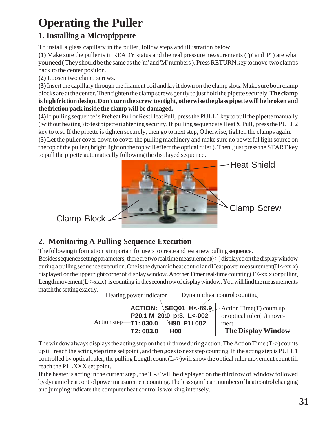# **Operating the Puller**

#### **1. Installing a Micropippette**

To install a glass capillary in the puller, follow steps and illustration below:

**(1)** Make sure the puller is in READY status and the real pressure measurements ( 'p' and 'P' ) are what you need ( They should be the same as the 'm' and 'M' numbers ). Press RETURN key to move two clamps back to the center position.

**(2)** Loosen two clamp screws.

**(3)** Insert the capillary through the filament coil and lay it down on the clamp slots. Make sure both clamp blocks are at the center. Then tighten the clamp screws gently to just hold the pipette securely. **The clamp is high friction design. Don't turn the screw too tight, otherwise the glass pipette will be broken and the friction pack inside the clamp will be damaged.**

**(4)** If pulling sequence is Preheat Pull or Rest Heat Pull, press the PULL1 key to pull the pipette manually ( without heating ) to test pipette tightening security. If pulling sequence is Heat & Pull, press the PULL2 key to test. If the pipette is tighten securely, then go to next step, Otherwise, tighten the clamps again.

**(5)** Let the puller cover down to cover the pulling machinery and make sure no powerful light source on the top of the puller ( bright light on the top will effect the optical ruler ). Then , just press the START key to pull the pipette automatically following the displayed sequence.



## **2. Monitoring A Pulling Sequence Execution**

The following information is important for users to create and test a new pulling sequence.

Besides sequence setting parameters, there are two real time measurement(<-) displayed on the display window during a pulling sequence execution. One is the dynamic heat control and Heat power measurement(H<-xx.x) displayed on the upper right corner of display window. Another Timer real-time counting(T<-xx.x) or pulling Length movement(L<-xx.x) is counting in the second row of display window. You will find the measurements match the setting exactly.

Heating power indicator Dynamic heat control counting

|           |                                      | <b>ACTION:</b> $\text{SEQ01 H<-89.9} \text{Action Time(T) count up}$ |
|-----------|--------------------------------------|----------------------------------------------------------------------|
|           | P20.1 M 20.0 p:3. L<0.02             | or optical ruler $(L)$ move-                                         |
|           | Action step $+$ T1: 030.0 +90 P1L002 | ment                                                                 |
| T2: 003.0 | <b>H00</b>                           | <b>The Display Window</b>                                            |

The window always displays the acting step on the third row during action. The Action Time  $(T\rightarrow)$  counts up till reach the acting step time set point , and then goes to next step counting. If the acting step is PULL1 controlled by optical ruler, the pulling Length count (L->)will show the optical ruler movement count till reach the P1LXXX set point.

If the heater is acting in the current step , the 'H->' will be displayed on the third row of window followed by dynamic heat control power measurement counting. The less significant numbers of heat control changing and jumping indicate the computer heat control is working intensely.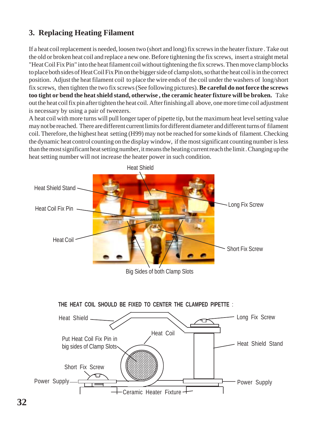#### **3. Replacing Heating Filament**

If a heat coil replacement is needed, loosen two (short and long) fix screws in the heater fixture . Take out the old or broken heat coil and replace a new one. Before tightening the fix screws, insert a straight metal "Heat Coil Fix Pin" into the heat filament coil without tightening the fix screws. Then move clamp blocks to place both sides of Heat Coil Fix Pin on the bigger side of clamp slots, so that the heat coil is in the correct position. Adjust the heat filament coil to place the wire ends of the coil under the washers of long/short fix screws, then tighten the two fix screws (See following pictures). **Be careful do not force the screws too tight or bend the heat shield stand, otherwise , the ceramic heater fixture will be broken.** Take out the heat coil fix pin after tighten the heat coil. After finishing all above, one more time coil adjustment is necessary by using a pair of tweezers.

A heat coil with more turns will pull longer taper of pipette tip, but the maximum heat level setting value may not be reached. There are different current limits for different diameter and different turns of filament coil. Therefore, the highest heat setting (H99) may not be reached for some kinds of filament. Checking the dynamic heat control counting on the display window, if the most significant counting number is less than the most significant heat setting number, it means the heating current reach the limit . Changing up the heat setting number will not increase the heater power in such condition.



**THE HEAT COIL SHOULD BE FIXED TO CENTER THE CLAMPED PIPETTE** :

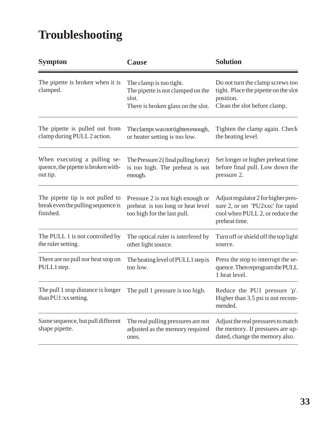# **Troubleshooting**

| <b>Sympton</b>                                                                      | Cause                                                                                                       | <b>Solution</b>                                                                                                              |
|-------------------------------------------------------------------------------------|-------------------------------------------------------------------------------------------------------------|------------------------------------------------------------------------------------------------------------------------------|
| The pipette is broken when it is<br>clamped.                                        | The clamp is too tight.<br>The pipette is not clamped on the<br>slot.<br>There is broken glass on the slot. | Do not turn the clamp screws too<br>tight. Place the pipette on the slot<br>position.<br>Clean the slot before clamp.        |
| The pipette is pulled out from<br>clamp during PULL 2 action.                       | The clamps was not tighten enough,<br>or heater setting is too low.                                         | Tighten the clamp again. Check<br>the heating level.                                                                         |
| When executing a pulling se-<br>quence, the pipette is broken with-<br>out tip.     | The Pressure $2$ (final pulling force)<br>is too high. The preheat is not<br>enough.                        | Set longer or higher preheat time<br>before final pull. Low down the<br>pressure 2.                                          |
| The pipette tip is not pulled to<br>break even the pulling sequence is<br>finished. | Pressure 2 is not high enough or<br>preheat is too long or heat level<br>too high for the last pull.        | Adjust regulator 2 for higher pres-<br>sure 2, or set 'PU2xxc' for rapid<br>cool when PULL 2, or reduce the<br>preheat time. |
| The PULL 1 is not controlled by<br>the ruler setting.                               | The optical ruler is interfered by<br>other light source.                                                   | Turn off or shield off the top light<br>source.                                                                              |
| There are no pull nor heat stop on<br>PULL1 step.                                   | The heating level of PULL1 step is<br>too low.                                                              | Press the stop to interrupt the se-<br>quence. Then reprogram the PULL<br>1 heat level.                                      |
| The pull 1 stop distance is longer<br>than PU1:xx setting.                          | The pull 1 pressure is too high.                                                                            | Reduce the PU1 pressure 'p'.<br>Higher than 3.5 psi is not recom-<br>mended.                                                 |
| Same sequence, but pull different<br>shape pipette.                                 | The real pulling pressures are not<br>adjusted as the memory required<br>ones.                              | Adjust the real pressures to match<br>the memory. If pressures are up-<br>dated, change the memory also.                     |